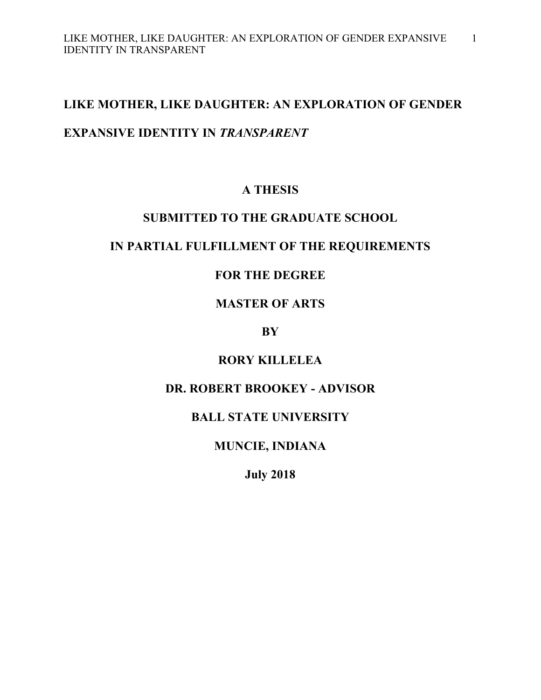# **LIKE MOTHER, LIKE DAUGHTER: AN EXPLORATION OF GENDER**

# **EXPANSIVE IDENTITY IN** *TRANSPARENT*

# **A THESIS**

### **SUBMITTED TO THE GRADUATE SCHOOL**

# **IN PARTIAL FULFILLMENT OF THE REQUIREMENTS**

# **FOR THE DEGREE**

# **MASTER OF ARTS**

### **BY**

# **RORY KILLELEA**

# **DR. ROBERT BROOKEY - ADVISOR**

# **BALL STATE UNIVERSITY**

# **MUNCIE, INDIANA**

**July 2018**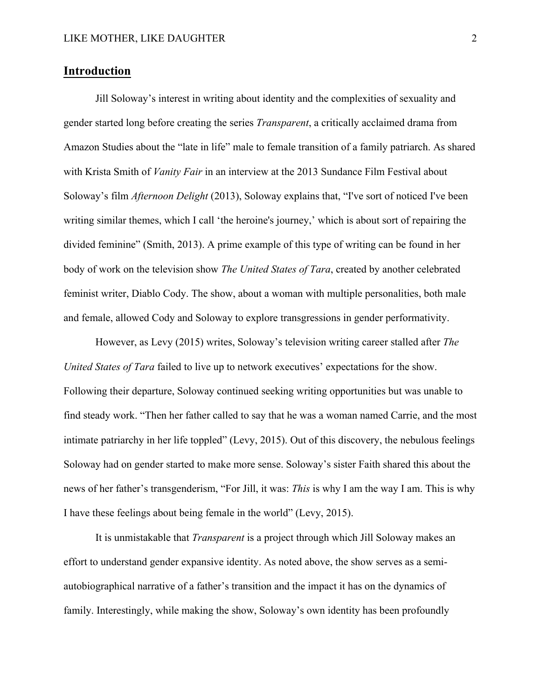### **Introduction**

Jill Soloway's interest in writing about identity and the complexities of sexuality and gender started long before creating the series *Transparent*, a critically acclaimed drama from Amazon Studies about the "late in life" male to female transition of a family patriarch. As shared with Krista Smith of *Vanity Fair* in an interview at the 2013 Sundance Film Festival about Soloway's film *Afternoon Delight* (2013), Soloway explains that, "I've sort of noticed I've been writing similar themes, which I call 'the heroine's journey,' which is about sort of repairing the divided feminine" (Smith, 2013). A prime example of this type of writing can be found in her body of work on the television show *The United States of Tara*, created by another celebrated feminist writer, Diablo Cody. The show, about a woman with multiple personalities, both male and female, allowed Cody and Soloway to explore transgressions in gender performativity.

However, as Levy (2015) writes, Soloway's television writing career stalled after *The United States of Tara* failed to live up to network executives' expectations for the show. Following their departure, Soloway continued seeking writing opportunities but was unable to find steady work. "Then her father called to say that he was a woman named Carrie, and the most intimate patriarchy in her life toppled" (Levy, 2015). Out of this discovery, the nebulous feelings Soloway had on gender started to make more sense. Soloway's sister Faith shared this about the news of her father's transgenderism, "For Jill, it was: *This* is why I am the way I am. This is why I have these feelings about being female in the world" (Levy, 2015).

It is unmistakable that *Transparent* is a project through which Jill Soloway makes an effort to understand gender expansive identity. As noted above, the show serves as a semiautobiographical narrative of a father's transition and the impact it has on the dynamics of family. Interestingly, while making the show, Soloway's own identity has been profoundly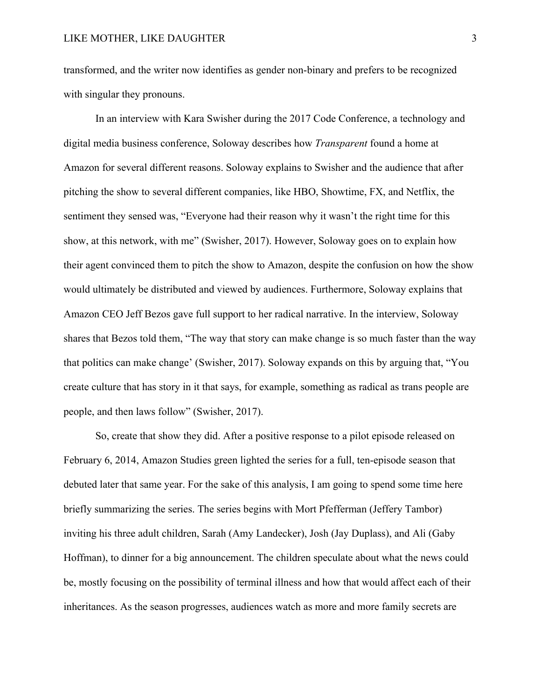transformed, and the writer now identifies as gender non-binary and prefers to be recognized with singular they pronouns.

In an interview with Kara Swisher during the 2017 Code Conference, a technology and digital media business conference, Soloway describes how *Transparent* found a home at Amazon for several different reasons. Soloway explains to Swisher and the audience that after pitching the show to several different companies, like HBO, Showtime, FX, and Netflix, the sentiment they sensed was, "Everyone had their reason why it wasn't the right time for this show, at this network, with me" (Swisher, 2017). However, Soloway goes on to explain how their agent convinced them to pitch the show to Amazon, despite the confusion on how the show would ultimately be distributed and viewed by audiences. Furthermore, Soloway explains that Amazon CEO Jeff Bezos gave full support to her radical narrative. In the interview, Soloway shares that Bezos told them, "The way that story can make change is so much faster than the way that politics can make change' (Swisher, 2017). Soloway expands on this by arguing that, "You create culture that has story in it that says, for example, something as radical as trans people are people, and then laws follow" (Swisher, 2017).

So, create that show they did. After a positive response to a pilot episode released on February 6, 2014, Amazon Studies green lighted the series for a full, ten-episode season that debuted later that same year. For the sake of this analysis, I am going to spend some time here briefly summarizing the series. The series begins with Mort Pfefferman (Jeffery Tambor) inviting his three adult children, Sarah (Amy Landecker), Josh (Jay Duplass), and Ali (Gaby Hoffman), to dinner for a big announcement. The children speculate about what the news could be, mostly focusing on the possibility of terminal illness and how that would affect each of their inheritances. As the season progresses, audiences watch as more and more family secrets are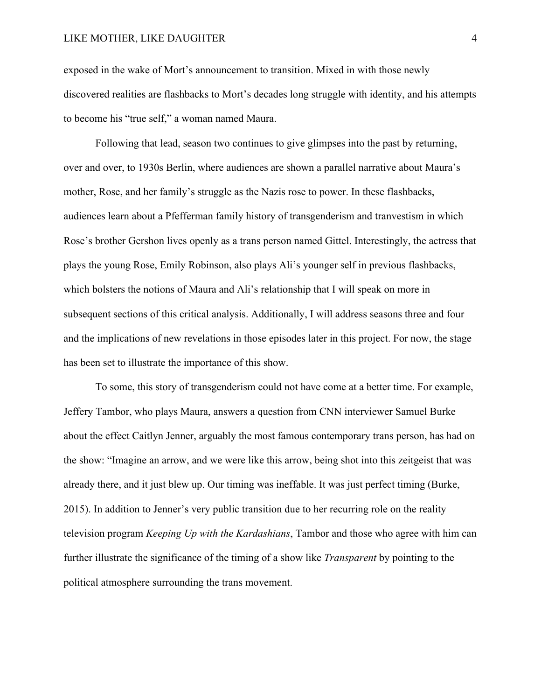exposed in the wake of Mort's announcement to transition. Mixed in with those newly discovered realities are flashbacks to Mort's decades long struggle with identity, and his attempts to become his "true self," a woman named Maura.

Following that lead, season two continues to give glimpses into the past by returning, over and over, to 1930s Berlin, where audiences are shown a parallel narrative about Maura's mother, Rose, and her family's struggle as the Nazis rose to power. In these flashbacks, audiences learn about a Pfefferman family history of transgenderism and tranvestism in which Rose's brother Gershon lives openly as a trans person named Gittel. Interestingly, the actress that plays the young Rose, Emily Robinson, also plays Ali's younger self in previous flashbacks, which bolsters the notions of Maura and Ali's relationship that I will speak on more in subsequent sections of this critical analysis. Additionally, I will address seasons three and four and the implications of new revelations in those episodes later in this project. For now, the stage has been set to illustrate the importance of this show.

To some, this story of transgenderism could not have come at a better time. For example, Jeffery Tambor, who plays Maura, answers a question from CNN interviewer Samuel Burke about the effect Caitlyn Jenner, arguably the most famous contemporary trans person, has had on the show: "Imagine an arrow, and we were like this arrow, being shot into this zeitgeist that was already there, and it just blew up. Our timing was ineffable. It was just perfect timing (Burke, 2015). In addition to Jenner's very public transition due to her recurring role on the reality television program *Keeping Up with the Kardashians*, Tambor and those who agree with him can further illustrate the significance of the timing of a show like *Transparent* by pointing to the political atmosphere surrounding the trans movement.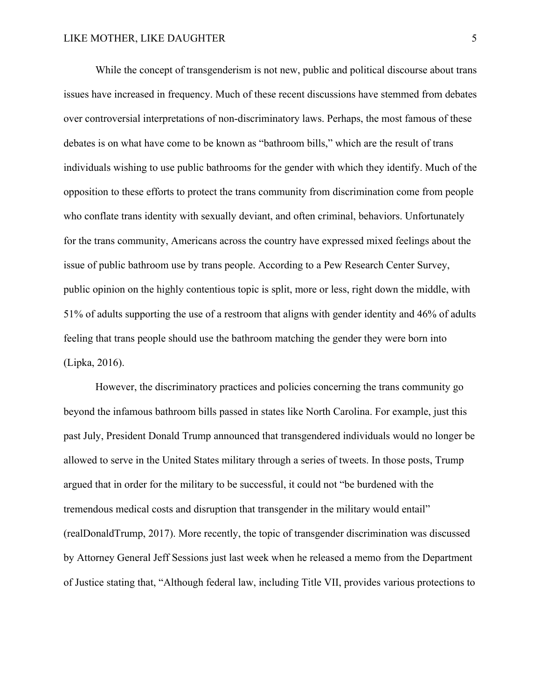While the concept of transgenderism is not new, public and political discourse about trans issues have increased in frequency. Much of these recent discussions have stemmed from debates over controversial interpretations of non-discriminatory laws. Perhaps, the most famous of these debates is on what have come to be known as "bathroom bills," which are the result of trans individuals wishing to use public bathrooms for the gender with which they identify. Much of the opposition to these efforts to protect the trans community from discrimination come from people who conflate trans identity with sexually deviant, and often criminal, behaviors. Unfortunately for the trans community, Americans across the country have expressed mixed feelings about the issue of public bathroom use by trans people. According to a Pew Research Center Survey, public opinion on the highly contentious topic is split, more or less, right down the middle, with 51% of adults supporting the use of a restroom that aligns with gender identity and 46% of adults feeling that trans people should use the bathroom matching the gender they were born into (Lipka, 2016).

However, the discriminatory practices and policies concerning the trans community go beyond the infamous bathroom bills passed in states like North Carolina. For example, just this past July, President Donald Trump announced that transgendered individuals would no longer be allowed to serve in the United States military through a series of tweets. In those posts, Trump argued that in order for the military to be successful, it could not "be burdened with the tremendous medical costs and disruption that transgender in the military would entail" (realDonaldTrump, 2017). More recently, the topic of transgender discrimination was discussed by Attorney General Jeff Sessions just last week when he released a memo from the Department of Justice stating that, "Although federal law, including Title VII, provides various protections to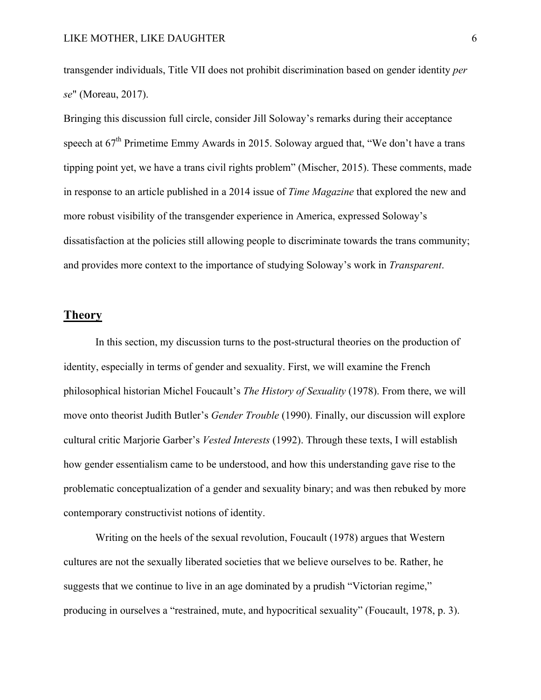transgender individuals, Title VII does not prohibit discrimination based on gender identity *per se*" (Moreau, 2017).

Bringing this discussion full circle, consider Jill Soloway's remarks during their acceptance speech at  $67<sup>th</sup>$  Primetime Emmy Awards in 2015. Soloway argued that, "We don't have a trans tipping point yet, we have a trans civil rights problem" (Mischer, 2015). These comments, made in response to an article published in a 2014 issue of *Time Magazine* that explored the new and more robust visibility of the transgender experience in America, expressed Soloway's dissatisfaction at the policies still allowing people to discriminate towards the trans community; and provides more context to the importance of studying Soloway's work in *Transparent*.

### **Theory**

In this section, my discussion turns to the post-structural theories on the production of identity, especially in terms of gender and sexuality. First, we will examine the French philosophical historian Michel Foucault's *The History of Sexuality* (1978). From there, we will move onto theorist Judith Butler's *Gender Trouble* (1990). Finally, our discussion will explore cultural critic Marjorie Garber's *Vested Interests* (1992). Through these texts, I will establish how gender essentialism came to be understood, and how this understanding gave rise to the problematic conceptualization of a gender and sexuality binary; and was then rebuked by more contemporary constructivist notions of identity.

Writing on the heels of the sexual revolution, Foucault (1978) argues that Western cultures are not the sexually liberated societies that we believe ourselves to be. Rather, he suggests that we continue to live in an age dominated by a prudish "Victorian regime," producing in ourselves a "restrained, mute, and hypocritical sexuality" (Foucault, 1978, p. 3).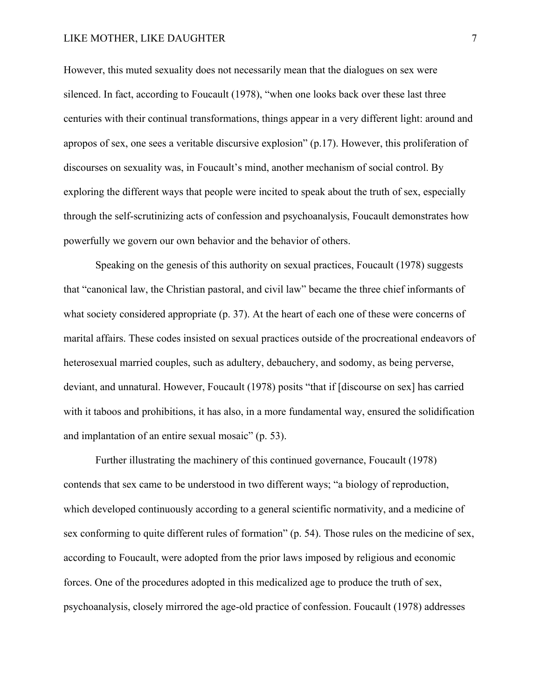However, this muted sexuality does not necessarily mean that the dialogues on sex were silenced. In fact, according to Foucault (1978), "when one looks back over these last three centuries with their continual transformations, things appear in a very different light: around and apropos of sex, one sees a veritable discursive explosion" (p.17). However, this proliferation of discourses on sexuality was, in Foucault's mind, another mechanism of social control. By exploring the different ways that people were incited to speak about the truth of sex, especially through the self-scrutinizing acts of confession and psychoanalysis, Foucault demonstrates how powerfully we govern our own behavior and the behavior of others.

Speaking on the genesis of this authority on sexual practices, Foucault (1978) suggests that "canonical law, the Christian pastoral, and civil law" became the three chief informants of what society considered appropriate (p. 37). At the heart of each one of these were concerns of marital affairs. These codes insisted on sexual practices outside of the procreational endeavors of heterosexual married couples, such as adultery, debauchery, and sodomy, as being perverse, deviant, and unnatural. However, Foucault (1978) posits "that if [discourse on sex] has carried with it taboos and prohibitions, it has also, in a more fundamental way, ensured the solidification and implantation of an entire sexual mosaic" (p. 53).

Further illustrating the machinery of this continued governance, Foucault (1978) contends that sex came to be understood in two different ways; "a biology of reproduction, which developed continuously according to a general scientific normativity, and a medicine of sex conforming to quite different rules of formation" (p. 54). Those rules on the medicine of sex, according to Foucault, were adopted from the prior laws imposed by religious and economic forces. One of the procedures adopted in this medicalized age to produce the truth of sex, psychoanalysis, closely mirrored the age-old practice of confession. Foucault (1978) addresses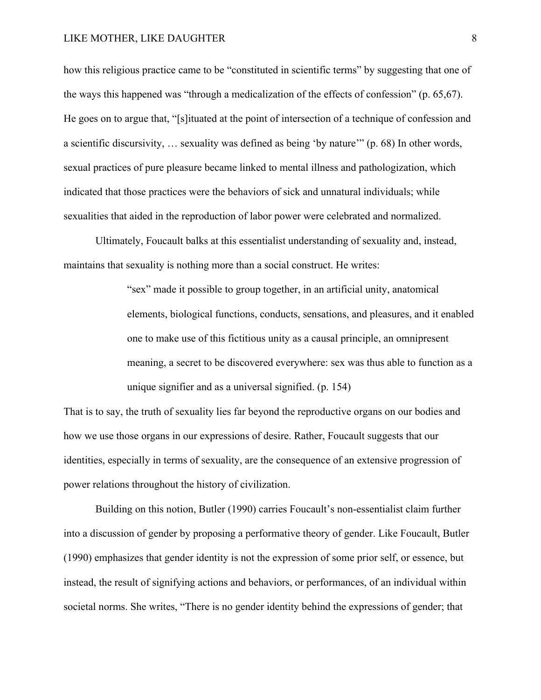how this religious practice came to be "constituted in scientific terms" by suggesting that one of the ways this happened was "through a medicalization of the effects of confession" (p. 65,67). He goes on to argue that, "[s]ituated at the point of intersection of a technique of confession and a scientific discursivity, … sexuality was defined as being 'by nature'" (p. 68) In other words, sexual practices of pure pleasure became linked to mental illness and pathologization, which indicated that those practices were the behaviors of sick and unnatural individuals; while sexualities that aided in the reproduction of labor power were celebrated and normalized.

Ultimately, Foucault balks at this essentialist understanding of sexuality and, instead, maintains that sexuality is nothing more than a social construct. He writes:

> "sex" made it possible to group together, in an artificial unity, anatomical elements, biological functions, conducts, sensations, and pleasures, and it enabled one to make use of this fictitious unity as a causal principle, an omnipresent meaning, a secret to be discovered everywhere: sex was thus able to function as a unique signifier and as a universal signified. (p. 154)

That is to say, the truth of sexuality lies far beyond the reproductive organs on our bodies and how we use those organs in our expressions of desire. Rather, Foucault suggests that our identities, especially in terms of sexuality, are the consequence of an extensive progression of power relations throughout the history of civilization.

Building on this notion, Butler (1990) carries Foucault's non-essentialist claim further into a discussion of gender by proposing a performative theory of gender. Like Foucault, Butler (1990) emphasizes that gender identity is not the expression of some prior self, or essence, but instead, the result of signifying actions and behaviors, or performances, of an individual within societal norms. She writes, "There is no gender identity behind the expressions of gender; that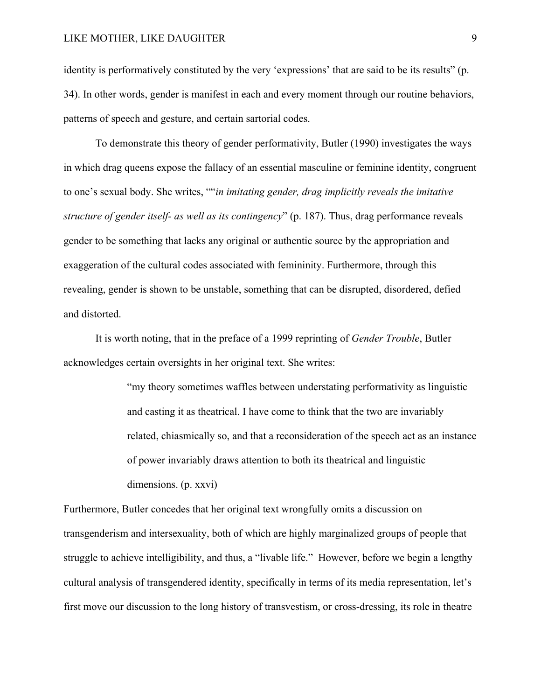identity is performatively constituted by the very 'expressions' that are said to be its results" (p. 34). In other words, gender is manifest in each and every moment through our routine behaviors, patterns of speech and gesture, and certain sartorial codes.

To demonstrate this theory of gender performativity, Butler (1990) investigates the ways in which drag queens expose the fallacy of an essential masculine or feminine identity, congruent to one's sexual body. She writes, ""*in imitating gender, drag implicitly reveals the imitative structure of gender itself- as well as its contingency*" (p. 187). Thus, drag performance reveals gender to be something that lacks any original or authentic source by the appropriation and exaggeration of the cultural codes associated with femininity. Furthermore, through this revealing, gender is shown to be unstable, something that can be disrupted, disordered, defied and distorted.

It is worth noting, that in the preface of a 1999 reprinting of *Gender Trouble*, Butler acknowledges certain oversights in her original text. She writes:

> "my theory sometimes waffles between understating performativity as linguistic and casting it as theatrical. I have come to think that the two are invariably related, chiasmically so, and that a reconsideration of the speech act as an instance of power invariably draws attention to both its theatrical and linguistic dimensions. (p. xxvi)

Furthermore, Butler concedes that her original text wrongfully omits a discussion on transgenderism and intersexuality, both of which are highly marginalized groups of people that struggle to achieve intelligibility, and thus, a "livable life." However, before we begin a lengthy cultural analysis of transgendered identity, specifically in terms of its media representation, let's first move our discussion to the long history of transvestism, or cross-dressing, its role in theatre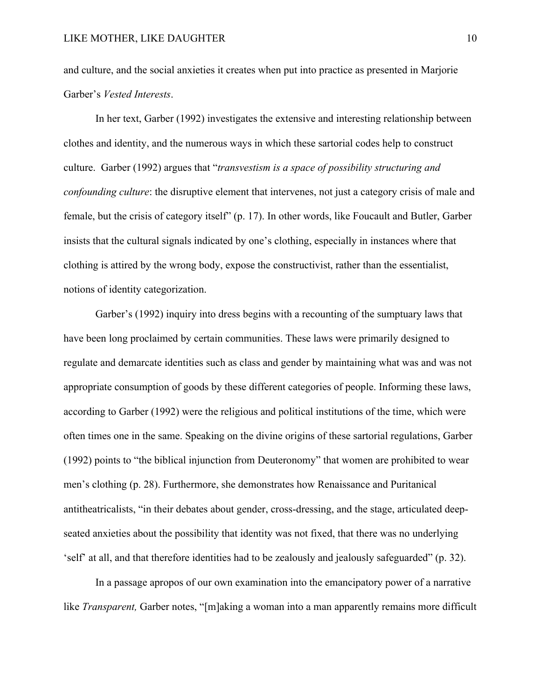and culture, and the social anxieties it creates when put into practice as presented in Marjorie Garber's *Vested Interests*.

In her text, Garber (1992) investigates the extensive and interesting relationship between clothes and identity, and the numerous ways in which these sartorial codes help to construct culture. Garber (1992) argues that "*transvestism is a space of possibility structuring and confounding culture*: the disruptive element that intervenes, not just a category crisis of male and female, but the crisis of category itself" (p. 17). In other words, like Foucault and Butler, Garber insists that the cultural signals indicated by one's clothing, especially in instances where that clothing is attired by the wrong body, expose the constructivist, rather than the essentialist, notions of identity categorization.

Garber's (1992) inquiry into dress begins with a recounting of the sumptuary laws that have been long proclaimed by certain communities. These laws were primarily designed to regulate and demarcate identities such as class and gender by maintaining what was and was not appropriate consumption of goods by these different categories of people. Informing these laws, according to Garber (1992) were the religious and political institutions of the time, which were often times one in the same. Speaking on the divine origins of these sartorial regulations, Garber (1992) points to "the biblical injunction from Deuteronomy" that women are prohibited to wear men's clothing (p. 28). Furthermore, she demonstrates how Renaissance and Puritanical antitheatricalists, "in their debates about gender, cross-dressing, and the stage, articulated deepseated anxieties about the possibility that identity was not fixed, that there was no underlying 'self' at all, and that therefore identities had to be zealously and jealously safeguarded" (p. 32).

In a passage apropos of our own examination into the emancipatory power of a narrative like *Transparent*, Garber notes, "[m]aking a woman into a man apparently remains more difficult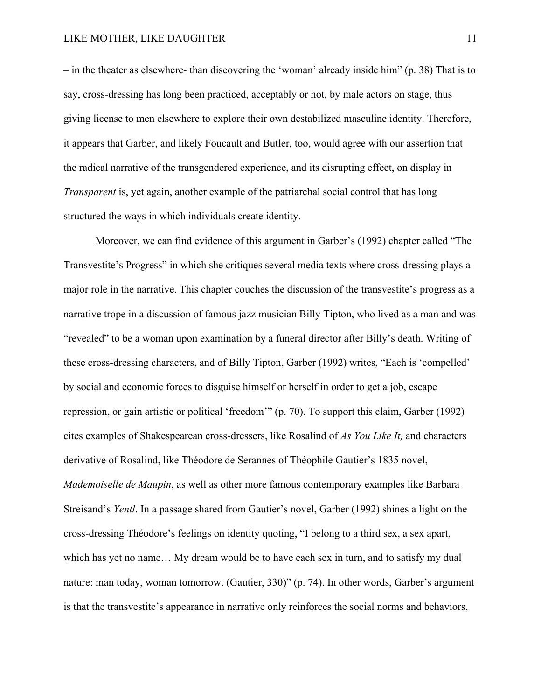– in the theater as elsewhere- than discovering the 'woman' already inside him" (p. 38) That is to say, cross-dressing has long been practiced, acceptably or not, by male actors on stage, thus giving license to men elsewhere to explore their own destabilized masculine identity. Therefore, it appears that Garber, and likely Foucault and Butler, too, would agree with our assertion that the radical narrative of the transgendered experience, and its disrupting effect, on display in *Transparent* is, yet again, another example of the patriarchal social control that has long structured the ways in which individuals create identity.

Moreover, we can find evidence of this argument in Garber's (1992) chapter called "The Transvestite's Progress" in which she critiques several media texts where cross-dressing plays a major role in the narrative. This chapter couches the discussion of the transvestite's progress as a narrative trope in a discussion of famous jazz musician Billy Tipton, who lived as a man and was "revealed" to be a woman upon examination by a funeral director after Billy's death. Writing of these cross-dressing characters, and of Billy Tipton, Garber (1992) writes, "Each is 'compelled' by social and economic forces to disguise himself or herself in order to get a job, escape repression, or gain artistic or political 'freedom'" (p. 70). To support this claim, Garber (1992) cites examples of Shakespearean cross-dressers, like Rosalind of *As You Like It,* and characters derivative of Rosalind, like Théodore de Serannes of Théophile Gautier's 1835 novel, *Mademoiselle de Maupin*, as well as other more famous contemporary examples like Barbara Streisand's *Yentl*. In a passage shared from Gautier's novel, Garber (1992) shines a light on the cross-dressing Théodore's feelings on identity quoting, "I belong to a third sex, a sex apart, which has yet no name… My dream would be to have each sex in turn, and to satisfy my dual nature: man today, woman tomorrow. (Gautier, 330)" (p. 74). In other words, Garber's argument is that the transvestite's appearance in narrative only reinforces the social norms and behaviors,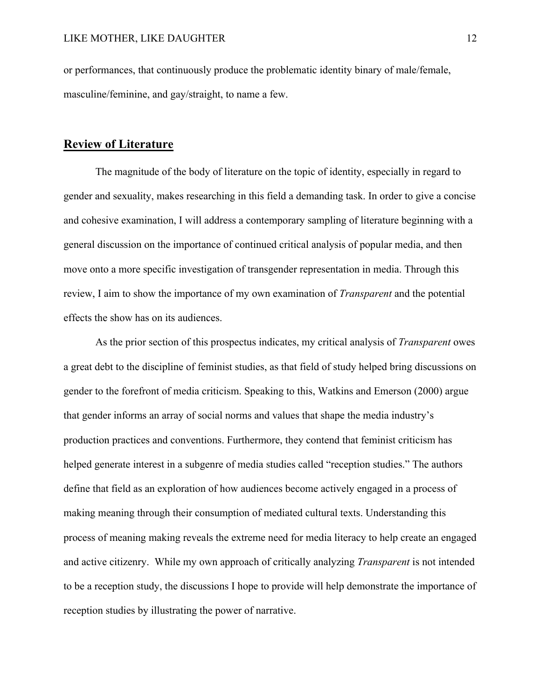or performances, that continuously produce the problematic identity binary of male/female, masculine/feminine, and gay/straight, to name a few.

### **Review of Literature**

The magnitude of the body of literature on the topic of identity, especially in regard to gender and sexuality, makes researching in this field a demanding task. In order to give a concise and cohesive examination, I will address a contemporary sampling of literature beginning with a general discussion on the importance of continued critical analysis of popular media, and then move onto a more specific investigation of transgender representation in media. Through this review, I aim to show the importance of my own examination of *Transparent* and the potential effects the show has on its audiences.

As the prior section of this prospectus indicates, my critical analysis of *Transparent* owes a great debt to the discipline of feminist studies, as that field of study helped bring discussions on gender to the forefront of media criticism. Speaking to this, Watkins and Emerson (2000) argue that gender informs an array of social norms and values that shape the media industry's production practices and conventions. Furthermore, they contend that feminist criticism has helped generate interest in a subgenre of media studies called "reception studies." The authors define that field as an exploration of how audiences become actively engaged in a process of making meaning through their consumption of mediated cultural texts. Understanding this process of meaning making reveals the extreme need for media literacy to help create an engaged and active citizenry. While my own approach of critically analyzing *Transparent* is not intended to be a reception study, the discussions I hope to provide will help demonstrate the importance of reception studies by illustrating the power of narrative.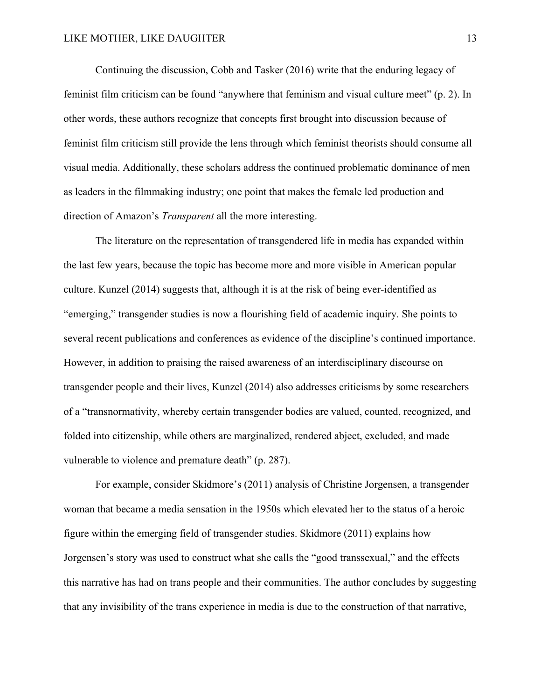Continuing the discussion, Cobb and Tasker (2016) write that the enduring legacy of feminist film criticism can be found "anywhere that feminism and visual culture meet" (p. 2). In other words, these authors recognize that concepts first brought into discussion because of feminist film criticism still provide the lens through which feminist theorists should consume all visual media. Additionally, these scholars address the continued problematic dominance of men as leaders in the filmmaking industry; one point that makes the female led production and direction of Amazon's *Transparent* all the more interesting.

The literature on the representation of transgendered life in media has expanded within the last few years, because the topic has become more and more visible in American popular culture. Kunzel (2014) suggests that, although it is at the risk of being ever-identified as "emerging," transgender studies is now a flourishing field of academic inquiry. She points to several recent publications and conferences as evidence of the discipline's continued importance. However, in addition to praising the raised awareness of an interdisciplinary discourse on transgender people and their lives, Kunzel (2014) also addresses criticisms by some researchers of a "transnormativity, whereby certain transgender bodies are valued, counted, recognized, and folded into citizenship, while others are marginalized, rendered abject, excluded, and made vulnerable to violence and premature death" (p. 287).

For example, consider Skidmore's (2011) analysis of Christine Jorgensen, a transgender woman that became a media sensation in the 1950s which elevated her to the status of a heroic figure within the emerging field of transgender studies. Skidmore (2011) explains how Jorgensen's story was used to construct what she calls the "good transsexual," and the effects this narrative has had on trans people and their communities. The author concludes by suggesting that any invisibility of the trans experience in media is due to the construction of that narrative,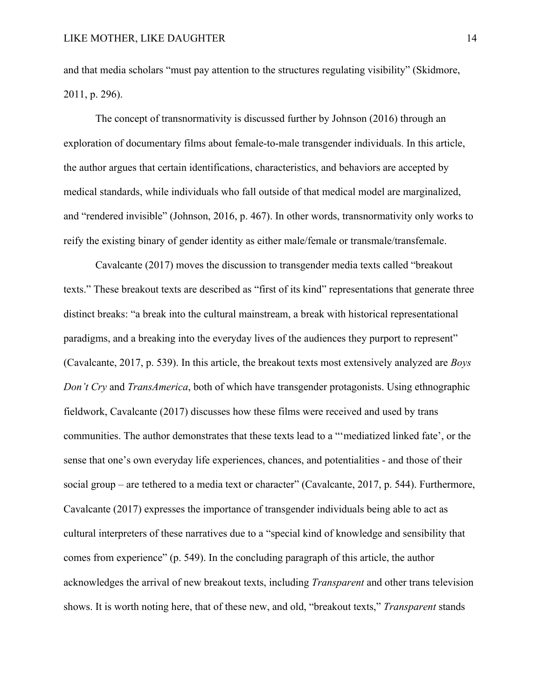and that media scholars "must pay attention to the structures regulating visibility" (Skidmore, 2011, p. 296).

The concept of transnormativity is discussed further by Johnson (2016) through an exploration of documentary films about female-to-male transgender individuals. In this article, the author argues that certain identifications, characteristics, and behaviors are accepted by medical standards, while individuals who fall outside of that medical model are marginalized, and "rendered invisible" (Johnson, 2016, p. 467). In other words, transnormativity only works to reify the existing binary of gender identity as either male/female or transmale/transfemale.

Cavalcante (2017) moves the discussion to transgender media texts called "breakout texts." These breakout texts are described as "first of its kind" representations that generate three distinct breaks: "a break into the cultural mainstream, a break with historical representational paradigms, and a breaking into the everyday lives of the audiences they purport to represent" (Cavalcante, 2017, p. 539). In this article, the breakout texts most extensively analyzed are *Boys Don't Cry* and *TransAmerica*, both of which have transgender protagonists. Using ethnographic fieldwork, Cavalcante (2017) discusses how these films were received and used by trans communities. The author demonstrates that these texts lead to a "'mediatized linked fate', or the sense that one's own everyday life experiences, chances, and potentialities - and those of their social group – are tethered to a media text or character" (Cavalcante, 2017, p. 544). Furthermore, Cavalcante (2017) expresses the importance of transgender individuals being able to act as cultural interpreters of these narratives due to a "special kind of knowledge and sensibility that comes from experience" (p. 549). In the concluding paragraph of this article, the author acknowledges the arrival of new breakout texts, including *Transparent* and other trans television shows. It is worth noting here, that of these new, and old, "breakout texts," *Transparent* stands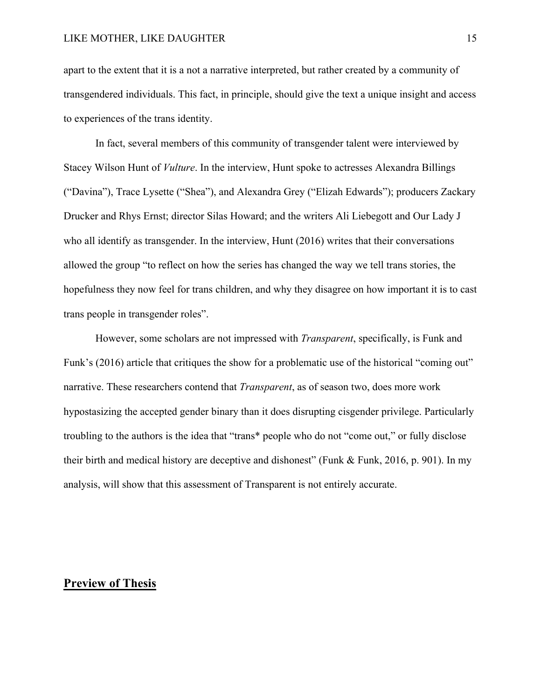apart to the extent that it is a not a narrative interpreted, but rather created by a community of transgendered individuals. This fact, in principle, should give the text a unique insight and access to experiences of the trans identity.

In fact, several members of this community of transgender talent were interviewed by Stacey Wilson Hunt of *Vulture*. In the interview, Hunt spoke to actresses Alexandra Billings ("Davina"), Trace Lysette ("Shea"), and Alexandra Grey ("Elizah Edwards"); producers Zackary Drucker and Rhys Ernst; director Silas Howard; and the writers Ali Liebegott and Our Lady J who all identify as transgender. In the interview, Hunt (2016) writes that their conversations allowed the group "to reflect on how the series has changed the way we tell trans stories, the hopefulness they now feel for trans children, and why they disagree on how important it is to cast trans people in transgender roles".

However, some scholars are not impressed with *Transparent*, specifically, is Funk and Funk's (2016) article that critiques the show for a problematic use of the historical "coming out" narrative. These researchers contend that *Transparent*, as of season two, does more work hypostasizing the accepted gender binary than it does disrupting cisgender privilege. Particularly troubling to the authors is the idea that "trans\* people who do not "come out," or fully disclose their birth and medical history are deceptive and dishonest" (Funk & Funk, 2016, p. 901). In my analysis, will show that this assessment of Transparent is not entirely accurate.

### **Preview of Thesis**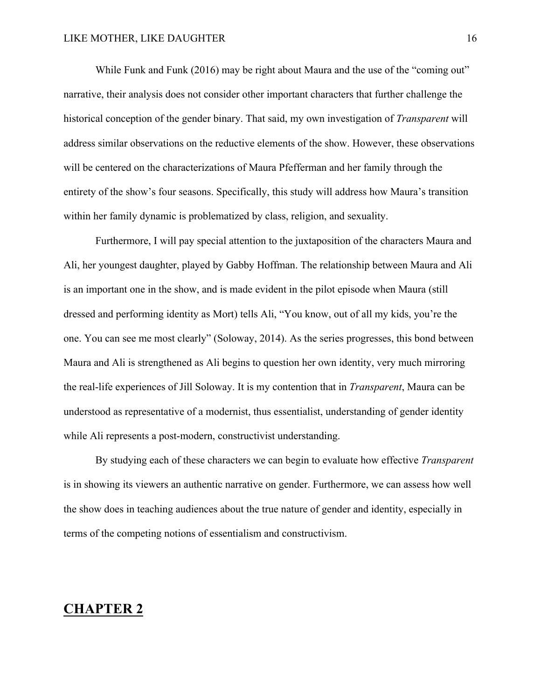While Funk and Funk (2016) may be right about Maura and the use of the "coming out" narrative, their analysis does not consider other important characters that further challenge the historical conception of the gender binary. That said, my own investigation of *Transparent* will address similar observations on the reductive elements of the show. However, these observations will be centered on the characterizations of Maura Pfefferman and her family through the entirety of the show's four seasons. Specifically, this study will address how Maura's transition within her family dynamic is problematized by class, religion, and sexuality.

Furthermore, I will pay special attention to the juxtaposition of the characters Maura and Ali, her youngest daughter, played by Gabby Hoffman. The relationship between Maura and Ali is an important one in the show, and is made evident in the pilot episode when Maura (still dressed and performing identity as Mort) tells Ali, "You know, out of all my kids, you're the one. You can see me most clearly" (Soloway, 2014). As the series progresses, this bond between Maura and Ali is strengthened as Ali begins to question her own identity, very much mirroring the real-life experiences of Jill Soloway. It is my contention that in *Transparent*, Maura can be understood as representative of a modernist, thus essentialist, understanding of gender identity while Ali represents a post-modern, constructivist understanding.

By studying each of these characters we can begin to evaluate how effective *Transparent* is in showing its viewers an authentic narrative on gender. Furthermore, we can assess how well the show does in teaching audiences about the true nature of gender and identity, especially in terms of the competing notions of essentialism and constructivism.

### **CHAPTER 2**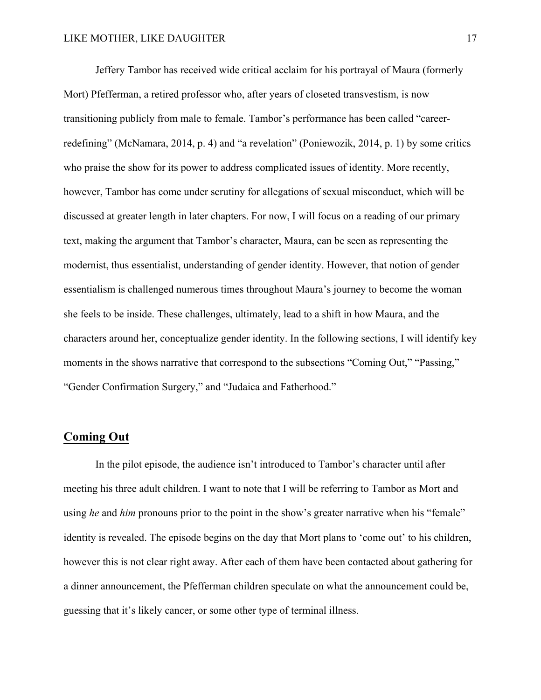Jeffery Tambor has received wide critical acclaim for his portrayal of Maura (formerly Mort) Pfefferman, a retired professor who, after years of closeted transvestism, is now transitioning publicly from male to female. Tambor's performance has been called "careerredefining" (McNamara, 2014, p. 4) and "a revelation" (Poniewozik, 2014, p. 1) by some critics who praise the show for its power to address complicated issues of identity. More recently, however, Tambor has come under scrutiny for allegations of sexual misconduct, which will be discussed at greater length in later chapters. For now, I will focus on a reading of our primary text, making the argument that Tambor's character, Maura, can be seen as representing the modernist, thus essentialist, understanding of gender identity. However, that notion of gender essentialism is challenged numerous times throughout Maura's journey to become the woman she feels to be inside. These challenges, ultimately, lead to a shift in how Maura, and the characters around her, conceptualize gender identity. In the following sections, I will identify key moments in the shows narrative that correspond to the subsections "Coming Out," "Passing," "Gender Confirmation Surgery," and "Judaica and Fatherhood."

### **Coming Out**

In the pilot episode, the audience isn't introduced to Tambor's character until after meeting his three adult children. I want to note that I will be referring to Tambor as Mort and using *he* and *him* pronouns prior to the point in the show's greater narrative when his "female" identity is revealed. The episode begins on the day that Mort plans to 'come out' to his children, however this is not clear right away. After each of them have been contacted about gathering for a dinner announcement, the Pfefferman children speculate on what the announcement could be, guessing that it's likely cancer, or some other type of terminal illness.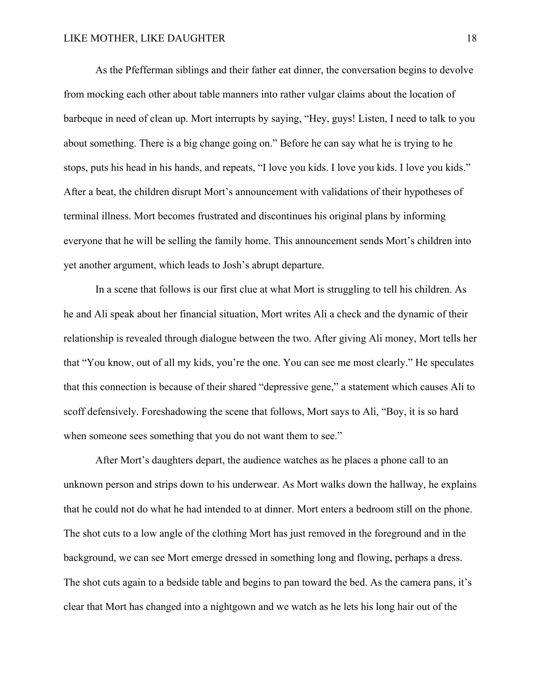As the Pfefferman siblings and their father eat dinner, the conversation begins to devolve from mocking each other about table manners into rather vulgar claims about the location of barbeque in need of clean up. Mort interrupts by saying, "Hey, guys! Listen, I need to talk to you about something. There is a big change going on." Before he can say what he is trying to he stops, puts his head in his hands, and repeats, "I love you kids. I love you kids. I love you kids." After a beat, the children disrupt Mort's announcement with validations of their hypotheses of terminal illness. Mort becomes frustrated and discontinues his original plans by informing everyone that he will be selling the family home. This announcement sends Mort's children into yet another argument, which leads to Josh's abrupt departure.

In a scene that follows is our first clue at what Mort is struggling to tell his children. As he and Ali speak about her financial situation, Mort writes Ali a check and the dynamic of their relationship is revealed through dialogue between the two. After giving Ali money, Mort tells her that "You know, out of all my kids, you're the one. You can see me most clearly." He speculates that this connection is because of their shared "depressive gene," a statement which causes Ali to scoff defensively. Foreshadowing the scene that follows, Mort says to Ali, "Boy, it is so hard when someone sees something that you do not want them to see."

After Mort's daughters depart, the audience watches as he places a phone call to an unknown person and strips down to his underwear. As Mort walks down the hallway, he explains that he could not do what he had intended to at dinner. Mort enters a bedroom still on the phone. The shot cuts to a low angle of the clothing Mort has just removed in the foreground and in the background, we can see Mort emerge dressed in something long and flowing, perhaps a dress. The shot cuts again to a bedside table and begins to pan toward the bed. As the camera pans, it's clear that Mort has changed into a nightgown and we watch as he lets his long hair out of the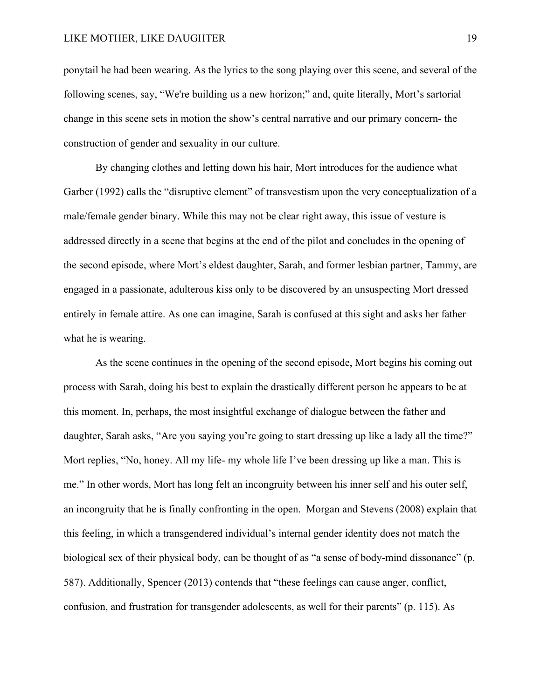ponytail he had been wearing. As the lyrics to the song playing over this scene, and several of the following scenes, say, "We're building us a new horizon;" and, quite literally, Mort's sartorial change in this scene sets in motion the show's central narrative and our primary concern- the construction of gender and sexuality in our culture.

By changing clothes and letting down his hair, Mort introduces for the audience what Garber (1992) calls the "disruptive element" of transvestism upon the very conceptualization of a male/female gender binary. While this may not be clear right away, this issue of vesture is addressed directly in a scene that begins at the end of the pilot and concludes in the opening of the second episode, where Mort's eldest daughter, Sarah, and former lesbian partner, Tammy, are engaged in a passionate, adulterous kiss only to be discovered by an unsuspecting Mort dressed entirely in female attire. As one can imagine, Sarah is confused at this sight and asks her father what he is wearing.

As the scene continues in the opening of the second episode, Mort begins his coming out process with Sarah, doing his best to explain the drastically different person he appears to be at this moment. In, perhaps, the most insightful exchange of dialogue between the father and daughter, Sarah asks, "Are you saying you're going to start dressing up like a lady all the time?" Mort replies, "No, honey. All my life- my whole life I've been dressing up like a man. This is me." In other words, Mort has long felt an incongruity between his inner self and his outer self, an incongruity that he is finally confronting in the open. Morgan and Stevens (2008) explain that this feeling, in which a transgendered individual's internal gender identity does not match the biological sex of their physical body, can be thought of as "a sense of body-mind dissonance" (p. 587). Additionally, Spencer (2013) contends that "these feelings can cause anger, conflict, confusion, and frustration for transgender adolescents, as well for their parents" (p. 115). As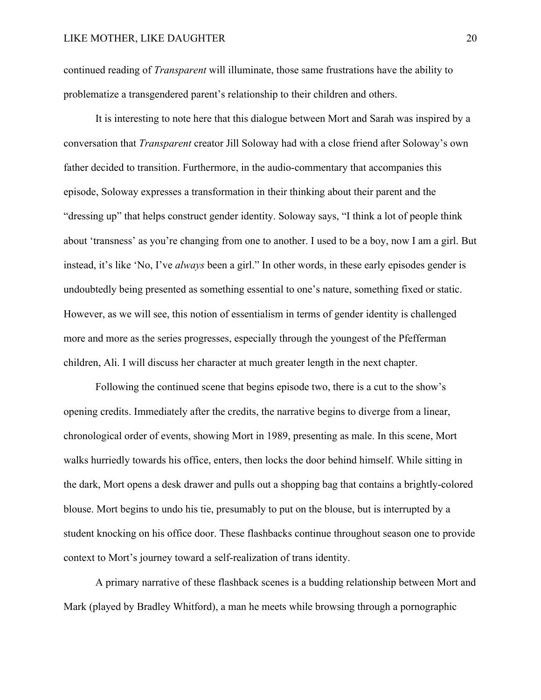continued reading of *Transparent* will illuminate, those same frustrations have the ability to problematize a transgendered parent's relationship to their children and others.

It is interesting to note here that this dialogue between Mort and Sarah was inspired by a conversation that *Transparent* creator Jill Soloway had with a close friend after Soloway's own father decided to transition. Furthermore, in the audio-commentary that accompanies this episode, Soloway expresses a transformation in their thinking about their parent and the "dressing up" that helps construct gender identity. Soloway says, "I think a lot of people think about 'transness' as you're changing from one to another. I used to be a boy, now I am a girl. But instead, it's like 'No, I've *always* been a girl." In other words, in these early episodes gender is undoubtedly being presented as something essential to one's nature, something fixed or static. However, as we will see, this notion of essentialism in terms of gender identity is challenged more and more as the series progresses, especially through the youngest of the Pfefferman children, Ali. I will discuss her character at much greater length in the next chapter.

Following the continued scene that begins episode two, there is a cut to the show's opening credits. Immediately after the credits, the narrative begins to diverge from a linear, chronological order of events, showing Mort in 1989, presenting as male. In this scene, Mort walks hurriedly towards his office, enters, then locks the door behind himself. While sitting in the dark, Mort opens a desk drawer and pulls out a shopping bag that contains a brightly-colored blouse. Mort begins to undo his tie, presumably to put on the blouse, but is interrupted by a student knocking on his office door. These flashbacks continue throughout season one to provide context to Mort's journey toward a self-realization of trans identity.

A primary narrative of these flashback scenes is a budding relationship between Mort and Mark (played by Bradley Whitford), a man he meets while browsing through a pornographic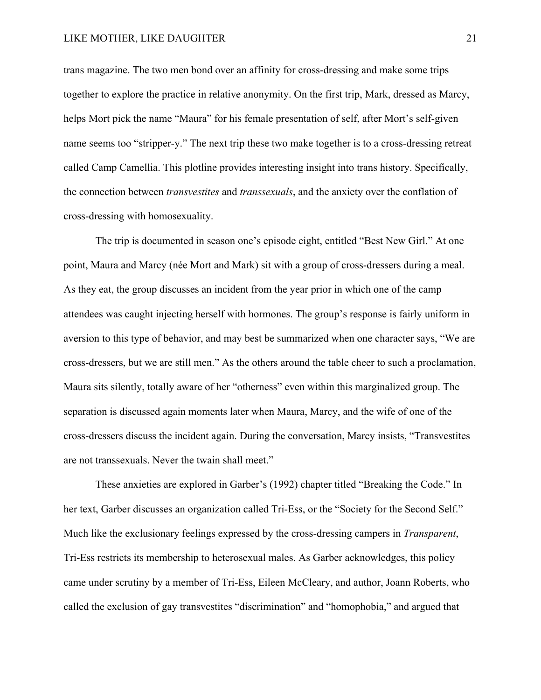trans magazine. The two men bond over an affinity for cross-dressing and make some trips together to explore the practice in relative anonymity. On the first trip, Mark, dressed as Marcy, helps Mort pick the name "Maura" for his female presentation of self, after Mort's self-given name seems too "stripper-y." The next trip these two make together is to a cross-dressing retreat called Camp Camellia. This plotline provides interesting insight into trans history. Specifically, the connection between *transvestites* and *transsexuals*, and the anxiety over the conflation of cross-dressing with homosexuality.

The trip is documented in season one's episode eight, entitled "Best New Girl." At one point, Maura and Marcy (née Mort and Mark) sit with a group of cross-dressers during a meal. As they eat, the group discusses an incident from the year prior in which one of the camp attendees was caught injecting herself with hormones. The group's response is fairly uniform in aversion to this type of behavior, and may best be summarized when one character says, "We are cross-dressers, but we are still men." As the others around the table cheer to such a proclamation, Maura sits silently, totally aware of her "otherness" even within this marginalized group. The separation is discussed again moments later when Maura, Marcy, and the wife of one of the cross-dressers discuss the incident again. During the conversation, Marcy insists, "Transvestites are not transsexuals. Never the twain shall meet."

These anxieties are explored in Garber's (1992) chapter titled "Breaking the Code." In her text, Garber discusses an organization called Tri-Ess, or the "Society for the Second Self." Much like the exclusionary feelings expressed by the cross-dressing campers in *Transparent*, Tri-Ess restricts its membership to heterosexual males. As Garber acknowledges, this policy came under scrutiny by a member of Tri-Ess, Eileen McCleary, and author, Joann Roberts, who called the exclusion of gay transvestites "discrimination" and "homophobia," and argued that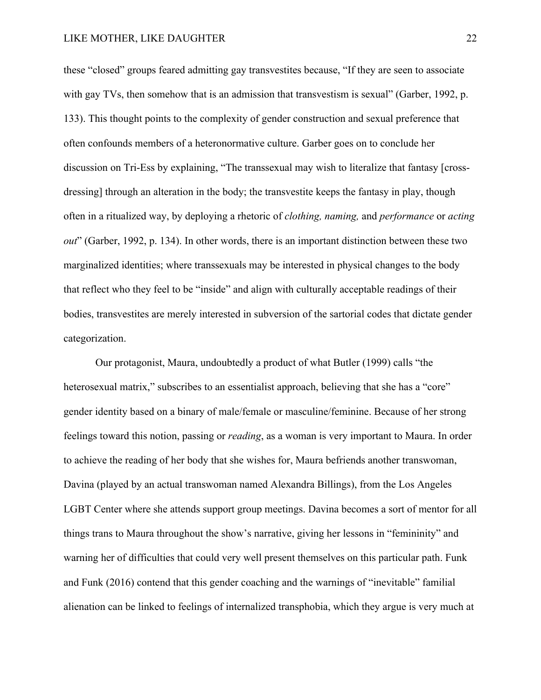these "closed" groups feared admitting gay transvestites because, "If they are seen to associate with gay TVs, then somehow that is an admission that transvestism is sexual" (Garber, 1992, p. 133). This thought points to the complexity of gender construction and sexual preference that often confounds members of a heteronormative culture. Garber goes on to conclude her discussion on Tri-Ess by explaining, "The transsexual may wish to literalize that fantasy [crossdressing] through an alteration in the body; the transvestite keeps the fantasy in play, though often in a ritualized way, by deploying a rhetoric of *clothing, naming,* and *performance* or *acting out*" (Garber, 1992, p. 134). In other words, there is an important distinction between these two marginalized identities; where transsexuals may be interested in physical changes to the body that reflect who they feel to be "inside" and align with culturally acceptable readings of their bodies, transvestites are merely interested in subversion of the sartorial codes that dictate gender categorization.

Our protagonist, Maura, undoubtedly a product of what Butler (1999) calls "the heterosexual matrix," subscribes to an essentialist approach, believing that she has a "core" gender identity based on a binary of male/female or masculine/feminine. Because of her strong feelings toward this notion, passing or *reading*, as a woman is very important to Maura. In order to achieve the reading of her body that she wishes for, Maura befriends another transwoman, Davina (played by an actual transwoman named Alexandra Billings), from the Los Angeles LGBT Center where she attends support group meetings. Davina becomes a sort of mentor for all things trans to Maura throughout the show's narrative, giving her lessons in "femininity" and warning her of difficulties that could very well present themselves on this particular path. Funk and Funk (2016) contend that this gender coaching and the warnings of "inevitable" familial alienation can be linked to feelings of internalized transphobia, which they argue is very much at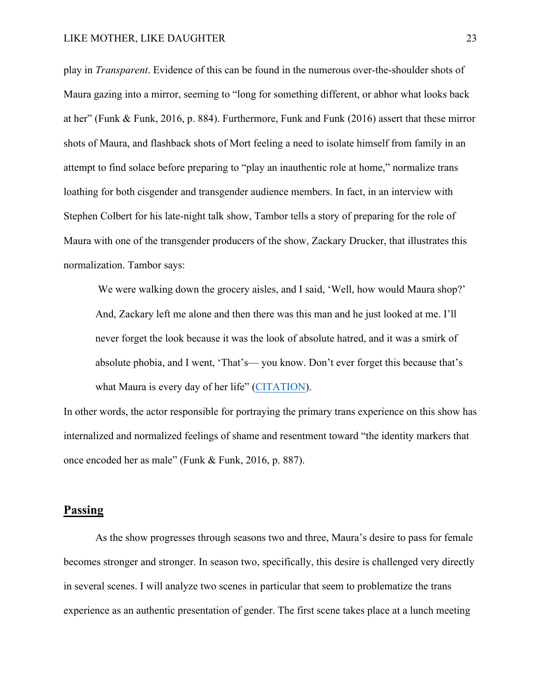play in *Transparent*. Evidence of this can be found in the numerous over-the-shoulder shots of Maura gazing into a mirror, seeming to "long for something different, or abhor what looks back at her" (Funk & Funk, 2016, p. 884). Furthermore, Funk and Funk (2016) assert that these mirror shots of Maura, and flashback shots of Mort feeling a need to isolate himself from family in an attempt to find solace before preparing to "play an inauthentic role at home," normalize trans loathing for both cisgender and transgender audience members. In fact, in an interview with Stephen Colbert for his late-night talk show, Tambor tells a story of preparing for the role of Maura with one of the transgender producers of the show, Zackary Drucker, that illustrates this normalization. Tambor says:

We were walking down the grocery aisles, and I said, 'Well, how would Maura shop?' And, Zackary left me alone and then there was this man and he just looked at me. I'll never forget the look because it was the look of absolute hatred, and it was a smirk of absolute phobia, and I went, 'That's— you know. Don't ever forget this because that's what Maura is every day of her life" (CITATION).

In other words, the actor responsible for portraying the primary trans experience on this show has internalized and normalized feelings of shame and resentment toward "the identity markers that once encoded her as male" (Funk & Funk, 2016, p. 887).

### **Passing**

As the show progresses through seasons two and three, Maura's desire to pass for female becomes stronger and stronger. In season two, specifically, this desire is challenged very directly in several scenes. I will analyze two scenes in particular that seem to problematize the trans experience as an authentic presentation of gender. The first scene takes place at a lunch meeting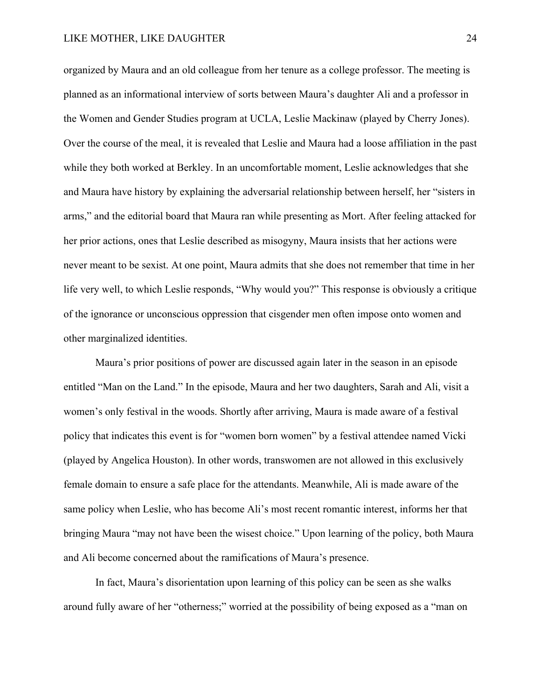organized by Maura and an old colleague from her tenure as a college professor. The meeting is planned as an informational interview of sorts between Maura's daughter Ali and a professor in the Women and Gender Studies program at UCLA, Leslie Mackinaw (played by Cherry Jones). Over the course of the meal, it is revealed that Leslie and Maura had a loose affiliation in the past while they both worked at Berkley. In an uncomfortable moment, Leslie acknowledges that she and Maura have history by explaining the adversarial relationship between herself, her "sisters in arms," and the editorial board that Maura ran while presenting as Mort. After feeling attacked for her prior actions, ones that Leslie described as misogyny, Maura insists that her actions were never meant to be sexist. At one point, Maura admits that she does not remember that time in her life very well, to which Leslie responds, "Why would you?" This response is obviously a critique of the ignorance or unconscious oppression that cisgender men often impose onto women and other marginalized identities.

Maura's prior positions of power are discussed again later in the season in an episode entitled "Man on the Land." In the episode, Maura and her two daughters, Sarah and Ali, visit a women's only festival in the woods. Shortly after arriving, Maura is made aware of a festival policy that indicates this event is for "women born women" by a festival attendee named Vicki (played by Angelica Houston). In other words, transwomen are not allowed in this exclusively female domain to ensure a safe place for the attendants. Meanwhile, Ali is made aware of the same policy when Leslie, who has become Ali's most recent romantic interest, informs her that bringing Maura "may not have been the wisest choice." Upon learning of the policy, both Maura and Ali become concerned about the ramifications of Maura's presence.

In fact, Maura's disorientation upon learning of this policy can be seen as she walks around fully aware of her "otherness;" worried at the possibility of being exposed as a "man on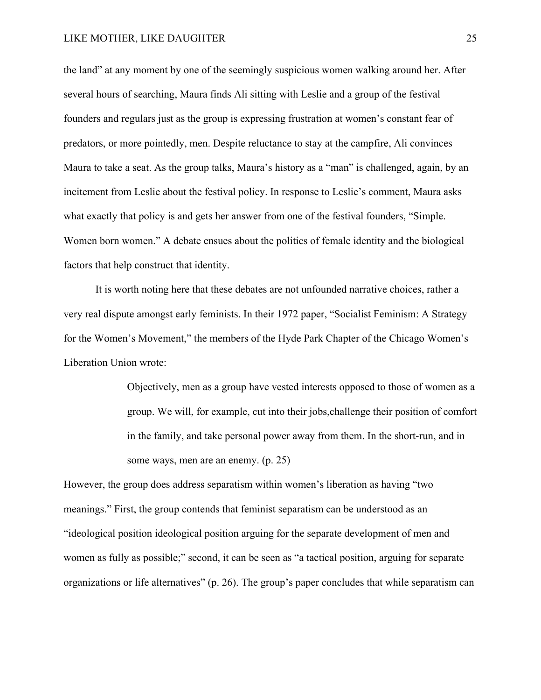the land" at any moment by one of the seemingly suspicious women walking around her. After several hours of searching, Maura finds Ali sitting with Leslie and a group of the festival founders and regulars just as the group is expressing frustration at women's constant fear of predators, or more pointedly, men. Despite reluctance to stay at the campfire, Ali convinces Maura to take a seat. As the group talks, Maura's history as a "man" is challenged, again, by an incitement from Leslie about the festival policy. In response to Leslie's comment, Maura asks what exactly that policy is and gets her answer from one of the festival founders, "Simple. Women born women." A debate ensues about the politics of female identity and the biological factors that help construct that identity.

It is worth noting here that these debates are not unfounded narrative choices, rather a very real dispute amongst early feminists. In their 1972 paper, "Socialist Feminism: A Strategy for the Women's Movement," the members of the Hyde Park Chapter of the Chicago Women's Liberation Union wrote:

> Objectively, men as a group have vested interests opposed to those of women as a group. We will, for example, cut into their jobs,challenge their position of comfort in the family, and take personal power away from them. In the short-run, and in some ways, men are an enemy. (p. 25)

However, the group does address separatism within women's liberation as having "two meanings." First, the group contends that feminist separatism can be understood as an "ideological position ideological position arguing for the separate development of men and women as fully as possible;" second, it can be seen as "a tactical position, arguing for separate organizations or life alternatives" (p. 26). The group's paper concludes that while separatism can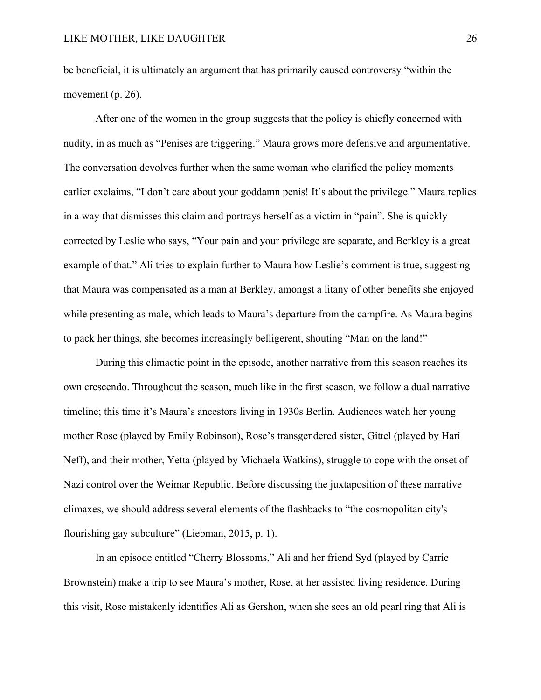be beneficial, it is ultimately an argument that has primarily caused controversy "within the movement (p. 26).

After one of the women in the group suggests that the policy is chiefly concerned with nudity, in as much as "Penises are triggering." Maura grows more defensive and argumentative. The conversation devolves further when the same woman who clarified the policy moments earlier exclaims, "I don't care about your goddamn penis! It's about the privilege." Maura replies in a way that dismisses this claim and portrays herself as a victim in "pain". She is quickly corrected by Leslie who says, "Your pain and your privilege are separate, and Berkley is a great example of that." Ali tries to explain further to Maura how Leslie's comment is true, suggesting that Maura was compensated as a man at Berkley, amongst a litany of other benefits she enjoyed while presenting as male, which leads to Maura's departure from the campfire. As Maura begins to pack her things, she becomes increasingly belligerent, shouting "Man on the land!"

During this climactic point in the episode, another narrative from this season reaches its own crescendo. Throughout the season, much like in the first season, we follow a dual narrative timeline; this time it's Maura's ancestors living in 1930s Berlin. Audiences watch her young mother Rose (played by Emily Robinson), Rose's transgendered sister, Gittel (played by Hari Neff), and their mother, Yetta (played by Michaela Watkins), struggle to cope with the onset of Nazi control over the Weimar Republic. Before discussing the juxtaposition of these narrative climaxes, we should address several elements of the flashbacks to "the cosmopolitan city's flourishing gay subculture" (Liebman, 2015, p. 1).

In an episode entitled "Cherry Blossoms," Ali and her friend Syd (played by Carrie Brownstein) make a trip to see Maura's mother, Rose, at her assisted living residence. During this visit, Rose mistakenly identifies Ali as Gershon, when she sees an old pearl ring that Ali is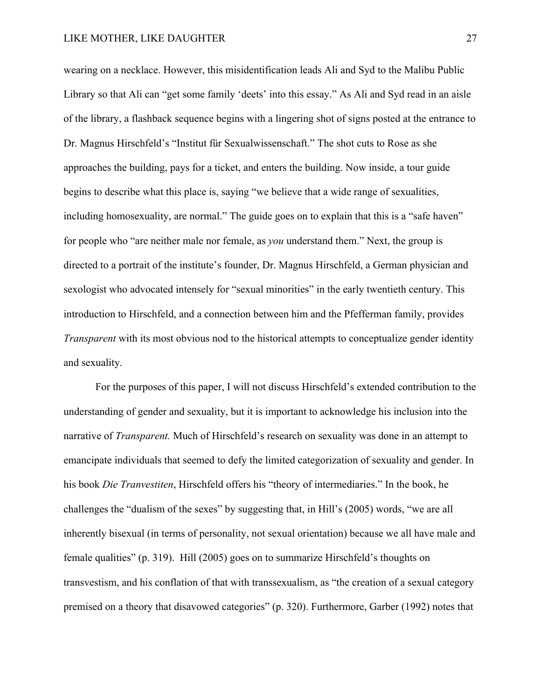wearing on a necklace. However, this misidentification leads Ali and Syd to the Malibu Public Library so that Ali can "get some family 'deets' into this essay." As Ali and Syd read in an aisle of the library, a flashback sequence begins with a lingering shot of signs posted at the entrance to Dr. Magnus Hirschfeld's "Institut für Sexualwissenschaft." The shot cuts to Rose as she approaches the building, pays for a ticket, and enters the building. Now inside, a tour guide begins to describe what this place is, saying "we believe that a wide range of sexualities, including homosexuality, are normal." The guide goes on to explain that this is a "safe haven" for people who "are neither male nor female, as *you* understand them." Next, the group is directed to a portrait of the institute's founder, Dr. Magnus Hirschfeld, a German physician and sexologist who advocated intensely for "sexual minorities" in the early twentieth century. This introduction to Hirschfeld, and a connection between him and the Pfefferman family, provides *Transparent* with its most obvious nod to the historical attempts to conceptualize gender identity and sexuality.

For the purposes of this paper, I will not discuss Hirschfeld's extended contribution to the understanding of gender and sexuality, but it is important to acknowledge his inclusion into the narrative of *Transparent.* Much of Hirschfeld's research on sexuality was done in an attempt to emancipate individuals that seemed to defy the limited categorization of sexuality and gender. In his book *Die Tranvestiten*, Hirschfeld offers his "theory of intermediaries." In the book, he challenges the "dualism of the sexes" by suggesting that, in Hill's (2005) words, "we are all inherently bisexual (in terms of personality, not sexual orientation) because we all have male and female qualities" (p. 319). Hill (2005) goes on to summarize Hirschfeld's thoughts on transvestism, and his conflation of that with transsexualism, as "the creation of a sexual category premised on a theory that disavowed categories" (p. 320). Furthermore, Garber (1992) notes that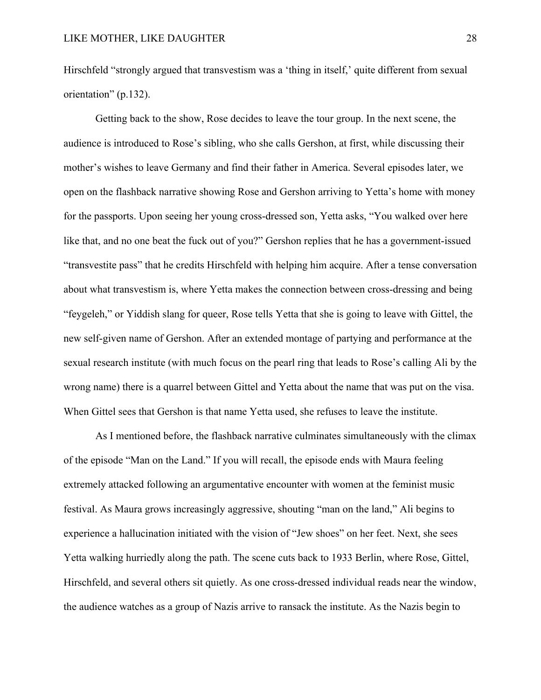Hirschfeld "strongly argued that transvestism was a 'thing in itself,' quite different from sexual orientation" (p.132).

Getting back to the show, Rose decides to leave the tour group. In the next scene, the audience is introduced to Rose's sibling, who she calls Gershon, at first, while discussing their mother's wishes to leave Germany and find their father in America. Several episodes later, we open on the flashback narrative showing Rose and Gershon arriving to Yetta's home with money for the passports. Upon seeing her young cross-dressed son, Yetta asks, "You walked over here like that, and no one beat the fuck out of you?" Gershon replies that he has a government-issued "transvestite pass" that he credits Hirschfeld with helping him acquire. After a tense conversation about what transvestism is, where Yetta makes the connection between cross-dressing and being "feygeleh," or Yiddish slang for queer, Rose tells Yetta that she is going to leave with Gittel, the new self-given name of Gershon. After an extended montage of partying and performance at the sexual research institute (with much focus on the pearl ring that leads to Rose's calling Ali by the wrong name) there is a quarrel between Gittel and Yetta about the name that was put on the visa. When Gittel sees that Gershon is that name Yetta used, she refuses to leave the institute.

As I mentioned before, the flashback narrative culminates simultaneously with the climax of the episode "Man on the Land." If you will recall, the episode ends with Maura feeling extremely attacked following an argumentative encounter with women at the feminist music festival. As Maura grows increasingly aggressive, shouting "man on the land," Ali begins to experience a hallucination initiated with the vision of "Jew shoes" on her feet. Next, she sees Yetta walking hurriedly along the path. The scene cuts back to 1933 Berlin, where Rose, Gittel, Hirschfeld, and several others sit quietly. As one cross-dressed individual reads near the window, the audience watches as a group of Nazis arrive to ransack the institute. As the Nazis begin to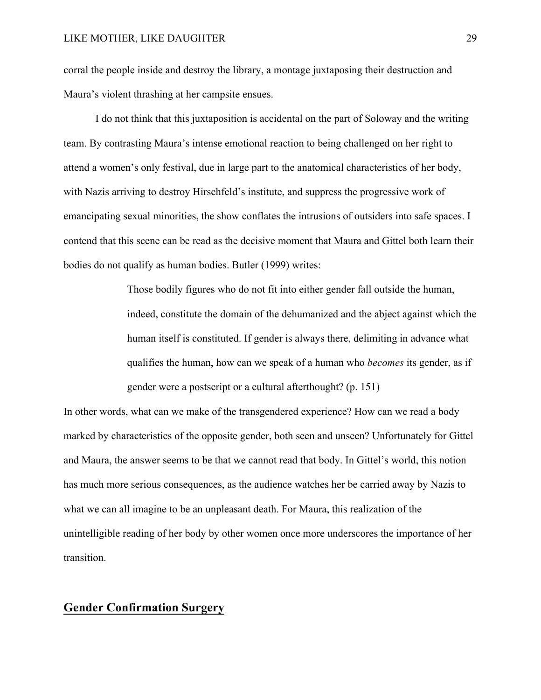corral the people inside and destroy the library, a montage juxtaposing their destruction and Maura's violent thrashing at her campsite ensues.

I do not think that this juxtaposition is accidental on the part of Soloway and the writing team. By contrasting Maura's intense emotional reaction to being challenged on her right to attend a women's only festival, due in large part to the anatomical characteristics of her body, with Nazis arriving to destroy Hirschfeld's institute, and suppress the progressive work of emancipating sexual minorities, the show conflates the intrusions of outsiders into safe spaces. I contend that this scene can be read as the decisive moment that Maura and Gittel both learn their bodies do not qualify as human bodies. Butler (1999) writes:

> Those bodily figures who do not fit into either gender fall outside the human, indeed, constitute the domain of the dehumanized and the abject against which the human itself is constituted. If gender is always there, delimiting in advance what qualifies the human, how can we speak of a human who *becomes* its gender, as if gender were a postscript or a cultural afterthought? (p. 151)

In other words, what can we make of the transgendered experience? How can we read a body marked by characteristics of the opposite gender, both seen and unseen? Unfortunately for Gittel and Maura, the answer seems to be that we cannot read that body. In Gittel's world, this notion has much more serious consequences, as the audience watches her be carried away by Nazis to what we can all imagine to be an unpleasant death. For Maura, this realization of the unintelligible reading of her body by other women once more underscores the importance of her transition.

### **Gender Confirmation Surgery**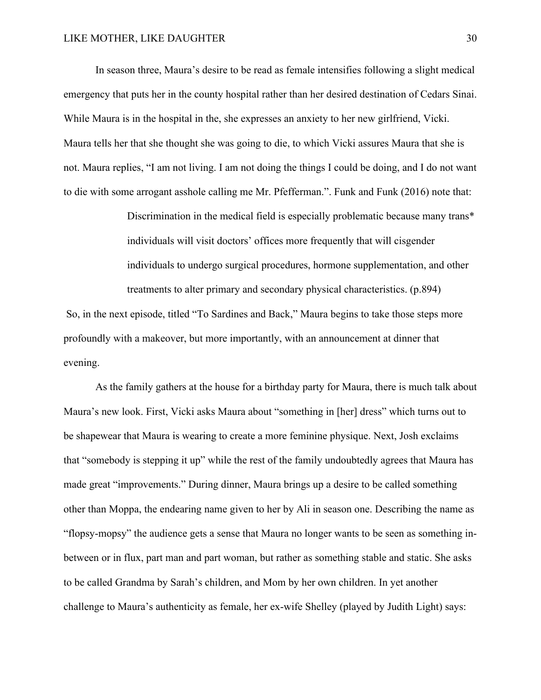In season three, Maura's desire to be read as female intensifies following a slight medical emergency that puts her in the county hospital rather than her desired destination of Cedars Sinai. While Maura is in the hospital in the, she expresses an anxiety to her new girlfriend, Vicki. Maura tells her that she thought she was going to die, to which Vicki assures Maura that she is not. Maura replies, "I am not living. I am not doing the things I could be doing, and I do not want to die with some arrogant asshole calling me Mr. Pfefferman.". Funk and Funk (2016) note that:

> Discrimination in the medical field is especially problematic because many trans\* individuals will visit doctors' offices more frequently that will cisgender individuals to undergo surgical procedures, hormone supplementation, and other treatments to alter primary and secondary physical characteristics. (p.894)

So, in the next episode, titled "To Sardines and Back," Maura begins to take those steps more profoundly with a makeover, but more importantly, with an announcement at dinner that evening.

As the family gathers at the house for a birthday party for Maura, there is much talk about Maura's new look. First, Vicki asks Maura about "something in [her] dress" which turns out to be shapewear that Maura is wearing to create a more feminine physique. Next, Josh exclaims that "somebody is stepping it up" while the rest of the family undoubtedly agrees that Maura has made great "improvements." During dinner, Maura brings up a desire to be called something other than Moppa, the endearing name given to her by Ali in season one. Describing the name as "flopsy-mopsy" the audience gets a sense that Maura no longer wants to be seen as something inbetween or in flux, part man and part woman, but rather as something stable and static. She asks to be called Grandma by Sarah's children, and Mom by her own children. In yet another challenge to Maura's authenticity as female, her ex-wife Shelley (played by Judith Light) says: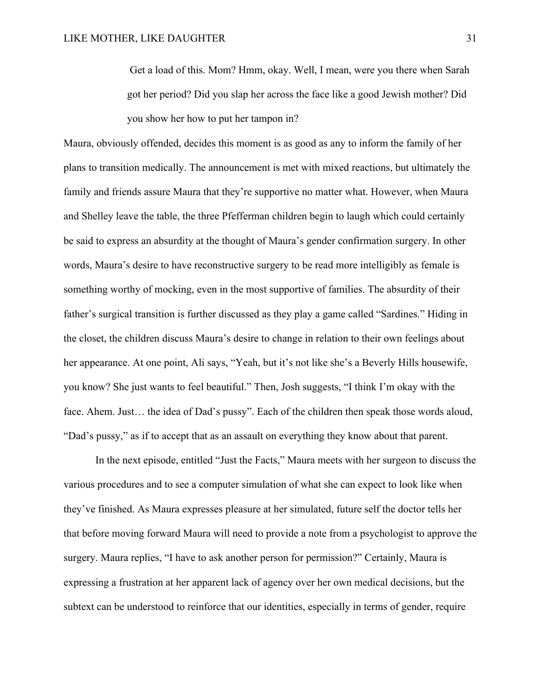Get a load of this. Mom? Hmm, okay. Well, I mean, were you there when Sarah got her period? Did you slap her across the face like a good Jewish mother? Did you show her how to put her tampon in?

Maura, obviously offended, decides this moment is as good as any to inform the family of her plans to transition medically. The announcement is met with mixed reactions, but ultimately the family and friends assure Maura that they're supportive no matter what. However, when Maura and Shelley leave the table, the three Pfefferman children begin to laugh which could certainly be said to express an absurdity at the thought of Maura's gender confirmation surgery. In other words, Maura's desire to have reconstructive surgery to be read more intelligibly as female is something worthy of mocking, even in the most supportive of families. The absurdity of their father's surgical transition is further discussed as they play a game called "Sardines." Hiding in the closet, the children discuss Maura's desire to change in relation to their own feelings about her appearance. At one point, Ali says, "Yeah, but it's not like she's a Beverly Hills housewife, you know? She just wants to feel beautiful." Then, Josh suggests, "I think I'm okay with the face. Ahem. Just... the idea of Dad's pussy". Each of the children then speak those words aloud, "Dad's pussy," as if to accept that as an assault on everything they know about that parent.

In the next episode, entitled "Just the Facts," Maura meets with her surgeon to discuss the various procedures and to see a computer simulation of what she can expect to look like when they've finished. As Maura expresses pleasure at her simulated, future self the doctor tells her that before moving forward Maura will need to provide a note from a psychologist to approve the surgery. Maura replies, "I have to ask another person for permission?" Certainly, Maura is expressing a frustration at her apparent lack of agency over her own medical decisions, but the subtext can be understood to reinforce that our identities, especially in terms of gender, require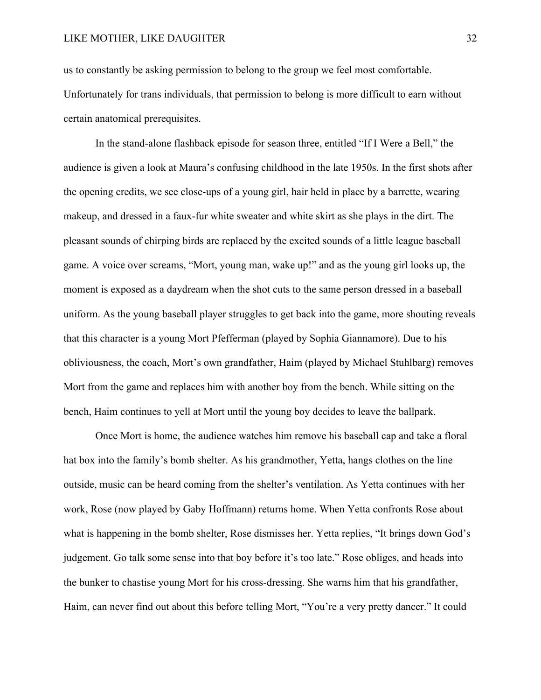us to constantly be asking permission to belong to the group we feel most comfortable. Unfortunately for trans individuals, that permission to belong is more difficult to earn without certain anatomical prerequisites.

In the stand-alone flashback episode for season three, entitled "If I Were a Bell," the audience is given a look at Maura's confusing childhood in the late 1950s. In the first shots after the opening credits, we see close-ups of a young girl, hair held in place by a barrette, wearing makeup, and dressed in a faux-fur white sweater and white skirt as she plays in the dirt. The pleasant sounds of chirping birds are replaced by the excited sounds of a little league baseball game. A voice over screams, "Mort, young man, wake up!" and as the young girl looks up, the moment is exposed as a daydream when the shot cuts to the same person dressed in a baseball uniform. As the young baseball player struggles to get back into the game, more shouting reveals that this character is a young Mort Pfefferman (played by Sophia Giannamore). Due to his obliviousness, the coach, Mort's own grandfather, Haim (played by Michael Stuhlbarg) removes Mort from the game and replaces him with another boy from the bench. While sitting on the bench, Haim continues to yell at Mort until the young boy decides to leave the ballpark.

Once Mort is home, the audience watches him remove his baseball cap and take a floral hat box into the family's bomb shelter. As his grandmother, Yetta, hangs clothes on the line outside, music can be heard coming from the shelter's ventilation. As Yetta continues with her work, Rose (now played by Gaby Hoffmann) returns home. When Yetta confronts Rose about what is happening in the bomb shelter, Rose dismisses her. Yetta replies, "It brings down God's judgement. Go talk some sense into that boy before it's too late." Rose obliges, and heads into the bunker to chastise young Mort for his cross-dressing. She warns him that his grandfather, Haim, can never find out about this before telling Mort, "You're a very pretty dancer." It could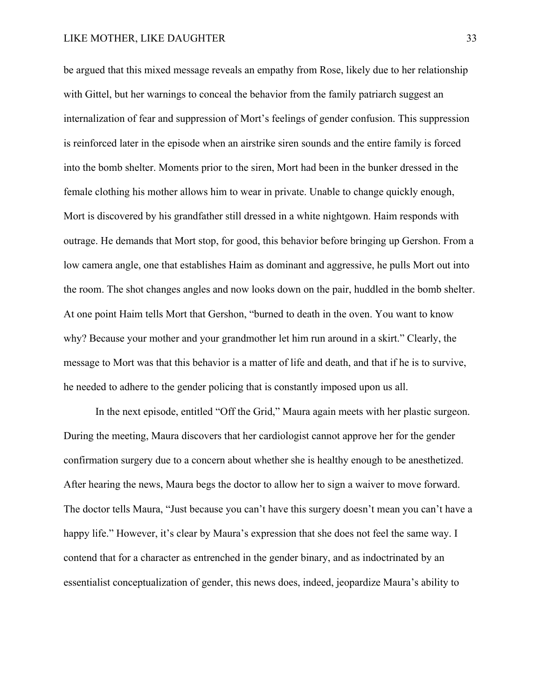be argued that this mixed message reveals an empathy from Rose, likely due to her relationship with Gittel, but her warnings to conceal the behavior from the family patriarch suggest an internalization of fear and suppression of Mort's feelings of gender confusion. This suppression is reinforced later in the episode when an airstrike siren sounds and the entire family is forced into the bomb shelter. Moments prior to the siren, Mort had been in the bunker dressed in the female clothing his mother allows him to wear in private. Unable to change quickly enough, Mort is discovered by his grandfather still dressed in a white nightgown. Haim responds with outrage. He demands that Mort stop, for good, this behavior before bringing up Gershon. From a low camera angle, one that establishes Haim as dominant and aggressive, he pulls Mort out into the room. The shot changes angles and now looks down on the pair, huddled in the bomb shelter. At one point Haim tells Mort that Gershon, "burned to death in the oven. You want to know why? Because your mother and your grandmother let him run around in a skirt." Clearly, the message to Mort was that this behavior is a matter of life and death, and that if he is to survive, he needed to adhere to the gender policing that is constantly imposed upon us all.

In the next episode, entitled "Off the Grid," Maura again meets with her plastic surgeon. During the meeting, Maura discovers that her cardiologist cannot approve her for the gender confirmation surgery due to a concern about whether she is healthy enough to be anesthetized. After hearing the news, Maura begs the doctor to allow her to sign a waiver to move forward. The doctor tells Maura, "Just because you can't have this surgery doesn't mean you can't have a happy life." However, it's clear by Maura's expression that she does not feel the same way. I contend that for a character as entrenched in the gender binary, and as indoctrinated by an essentialist conceptualization of gender, this news does, indeed, jeopardize Maura's ability to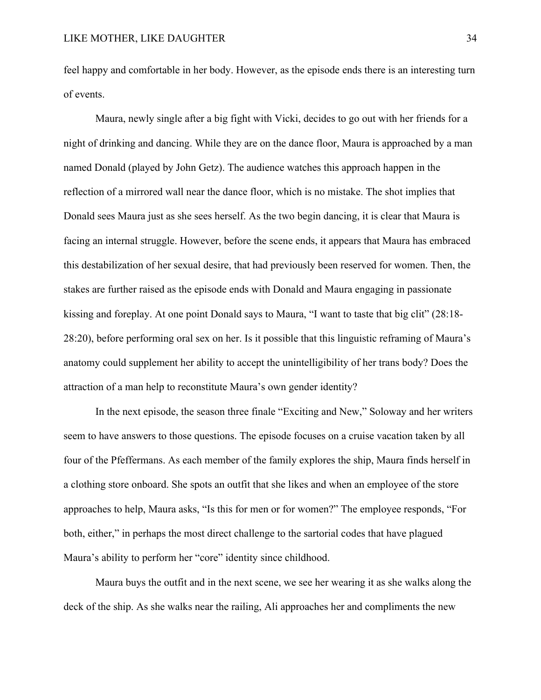feel happy and comfortable in her body. However, as the episode ends there is an interesting turn of events.

Maura, newly single after a big fight with Vicki, decides to go out with her friends for a night of drinking and dancing. While they are on the dance floor, Maura is approached by a man named Donald (played by John Getz). The audience watches this approach happen in the reflection of a mirrored wall near the dance floor, which is no mistake. The shot implies that Donald sees Maura just as she sees herself. As the two begin dancing, it is clear that Maura is facing an internal struggle. However, before the scene ends, it appears that Maura has embraced this destabilization of her sexual desire, that had previously been reserved for women. Then, the stakes are further raised as the episode ends with Donald and Maura engaging in passionate kissing and foreplay. At one point Donald says to Maura, "I want to taste that big clit" (28:18- 28:20), before performing oral sex on her. Is it possible that this linguistic reframing of Maura's anatomy could supplement her ability to accept the unintelligibility of her trans body? Does the attraction of a man help to reconstitute Maura's own gender identity?

In the next episode, the season three finale "Exciting and New," Soloway and her writers seem to have answers to those questions. The episode focuses on a cruise vacation taken by all four of the Pfeffermans. As each member of the family explores the ship, Maura finds herself in a clothing store onboard. She spots an outfit that she likes and when an employee of the store approaches to help, Maura asks, "Is this for men or for women?" The employee responds, "For both, either," in perhaps the most direct challenge to the sartorial codes that have plagued Maura's ability to perform her "core" identity since childhood.

Maura buys the outfit and in the next scene, we see her wearing it as she walks along the deck of the ship. As she walks near the railing, Ali approaches her and compliments the new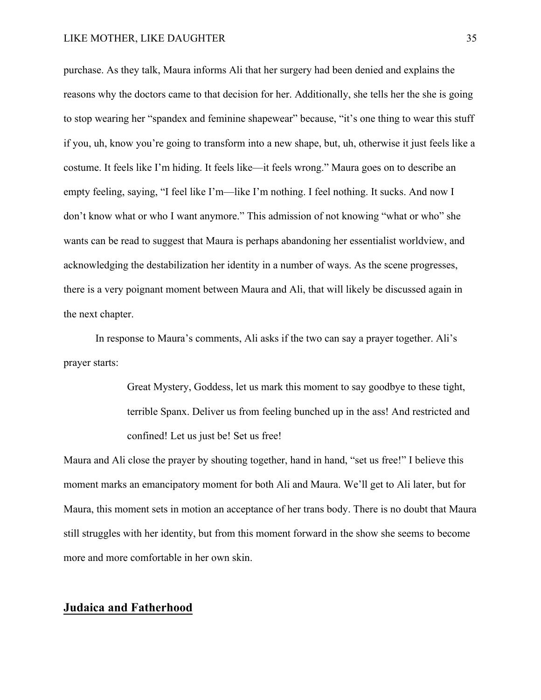purchase. As they talk, Maura informs Ali that her surgery had been denied and explains the reasons why the doctors came to that decision for her. Additionally, she tells her the she is going to stop wearing her "spandex and feminine shapewear" because, "it's one thing to wear this stuff if you, uh, know you're going to transform into a new shape, but, uh, otherwise it just feels like a costume. It feels like I'm hiding. It feels like—it feels wrong." Maura goes on to describe an empty feeling, saying, "I feel like I'm—like I'm nothing. I feel nothing. It sucks. And now I don't know what or who I want anymore." This admission of not knowing "what or who" she wants can be read to suggest that Maura is perhaps abandoning her essentialist worldview, and acknowledging the destabilization her identity in a number of ways. As the scene progresses, there is a very poignant moment between Maura and Ali, that will likely be discussed again in the next chapter.

In response to Maura's comments, Ali asks if the two can say a prayer together. Ali's prayer starts:

> Great Mystery, Goddess, let us mark this moment to say goodbye to these tight, terrible Spanx. Deliver us from feeling bunched up in the ass! And restricted and confined! Let us just be! Set us free!

Maura and Ali close the prayer by shouting together, hand in hand, "set us free!" I believe this moment marks an emancipatory moment for both Ali and Maura. We'll get to Ali later, but for Maura, this moment sets in motion an acceptance of her trans body. There is no doubt that Maura still struggles with her identity, but from this moment forward in the show she seems to become more and more comfortable in her own skin.

### **Judaica and Fatherhood**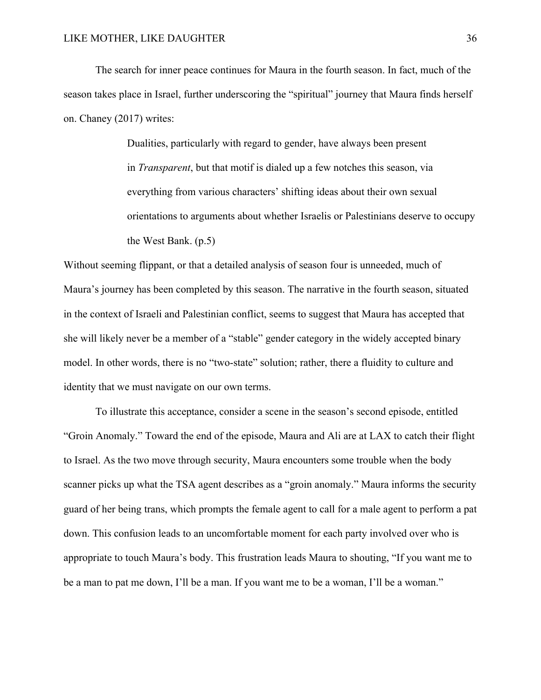The search for inner peace continues for Maura in the fourth season. In fact, much of the season takes place in Israel, further underscoring the "spiritual" journey that Maura finds herself on. Chaney (2017) writes:

> Dualities, particularly with regard to gender, have always been present in *Transparent*, but that motif is dialed up a few notches this season, via everything from various characters' shifting ideas about their own sexual orientations to arguments about whether Israelis or Palestinians deserve to occupy the West Bank. (p.5)

Without seeming flippant, or that a detailed analysis of season four is unneeded, much of Maura's journey has been completed by this season. The narrative in the fourth season, situated in the context of Israeli and Palestinian conflict, seems to suggest that Maura has accepted that she will likely never be a member of a "stable" gender category in the widely accepted binary model. In other words, there is no "two-state" solution; rather, there a fluidity to culture and identity that we must navigate on our own terms.

To illustrate this acceptance, consider a scene in the season's second episode, entitled "Groin Anomaly." Toward the end of the episode, Maura and Ali are at LAX to catch their flight to Israel. As the two move through security, Maura encounters some trouble when the body scanner picks up what the TSA agent describes as a "groin anomaly." Maura informs the security guard of her being trans, which prompts the female agent to call for a male agent to perform a pat down. This confusion leads to an uncomfortable moment for each party involved over who is appropriate to touch Maura's body. This frustration leads Maura to shouting, "If you want me to be a man to pat me down, I'll be a man. If you want me to be a woman, I'll be a woman."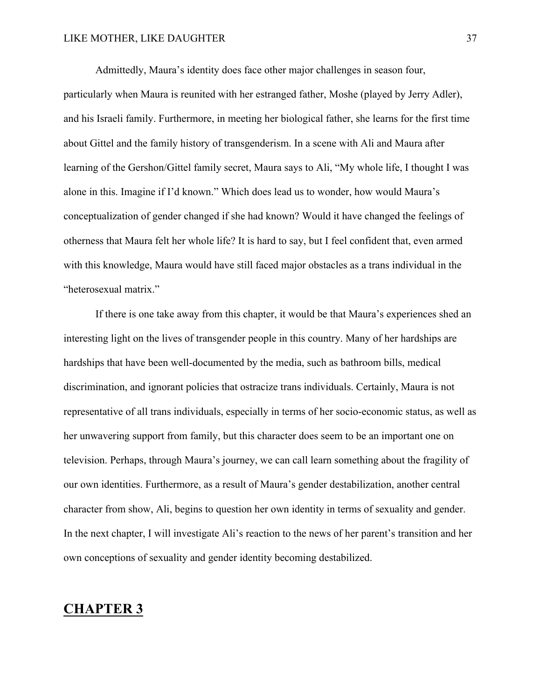Admittedly, Maura's identity does face other major challenges in season four, particularly when Maura is reunited with her estranged father, Moshe (played by Jerry Adler), and his Israeli family. Furthermore, in meeting her biological father, she learns for the first time about Gittel and the family history of transgenderism. In a scene with Ali and Maura after learning of the Gershon/Gittel family secret, Maura says to Ali, "My whole life, I thought I was alone in this. Imagine if I'd known." Which does lead us to wonder, how would Maura's conceptualization of gender changed if she had known? Would it have changed the feelings of otherness that Maura felt her whole life? It is hard to say, but I feel confident that, even armed with this knowledge, Maura would have still faced major obstacles as a trans individual in the "heterosexual matrix."

If there is one take away from this chapter, it would be that Maura's experiences shed an interesting light on the lives of transgender people in this country. Many of her hardships are hardships that have been well-documented by the media, such as bathroom bills, medical discrimination, and ignorant policies that ostracize trans individuals. Certainly, Maura is not representative of all trans individuals, especially in terms of her socio-economic status, as well as her unwavering support from family, but this character does seem to be an important one on television. Perhaps, through Maura's journey, we can call learn something about the fragility of our own identities. Furthermore, as a result of Maura's gender destabilization, another central character from show, Ali, begins to question her own identity in terms of sexuality and gender. In the next chapter, I will investigate Ali's reaction to the news of her parent's transition and her own conceptions of sexuality and gender identity becoming destabilized.

# **CHAPTER 3**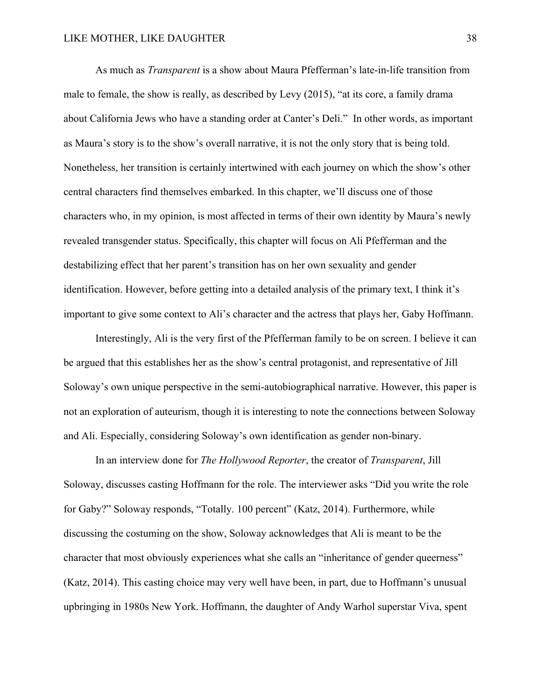As much as *Transparent* is a show about Maura Pfefferman's late-in-life transition from male to female, the show is really, as described by Levy (2015), "at its core, a family drama about California Jews who have a standing order at Canter's Deli." In other words, as important as Maura's story is to the show's overall narrative, it is not the only story that is being told. Nonetheless, her transition is certainly intertwined with each journey on which the show's other central characters find themselves embarked. In this chapter, we'll discuss one of those characters who, in my opinion, is most affected in terms of their own identity by Maura's newly revealed transgender status. Specifically, this chapter will focus on Ali Pfefferman and the destabilizing effect that her parent's transition has on her own sexuality and gender identification. However, before getting into a detailed analysis of the primary text, I think it's important to give some context to Ali's character and the actress that plays her, Gaby Hoffmann.

Interestingly, Ali is the very first of the Pfefferman family to be on screen. I believe it can be argued that this establishes her as the show's central protagonist, and representative of Jill Soloway's own unique perspective in the semi-autobiographical narrative. However, this paper is not an exploration of auteurism, though it is interesting to note the connections between Soloway and Ali. Especially, considering Soloway's own identification as gender non-binary.

In an interview done for *The Hollywood Reporter*, the creator of *Transparent*, Jill Soloway, discusses casting Hoffmann for the role. The interviewer asks "Did you write the role for Gaby?" Soloway responds, "Totally. 100 percent" (Katz, 2014). Furthermore, while discussing the costuming on the show, Soloway acknowledges that Ali is meant to be the character that most obviously experiences what she calls an "inheritance of gender queerness" (Katz, 2014). This casting choice may very well have been, in part, due to Hoffmann's unusual upbringing in 1980s New York. Hoffmann, the daughter of Andy Warhol superstar Viva, spent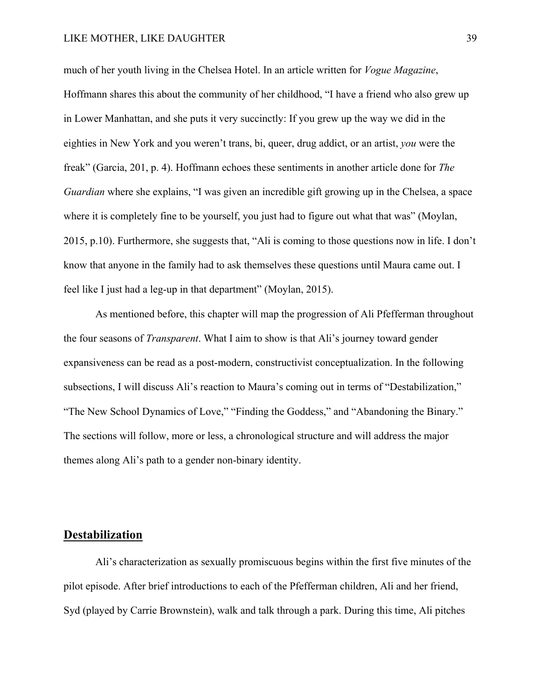much of her youth living in the Chelsea Hotel. In an article written for *Vogue Magazine*, Hoffmann shares this about the community of her childhood, "I have a friend who also grew up in Lower Manhattan, and she puts it very succinctly: If you grew up the way we did in the eighties in New York and you weren't trans, bi, queer, drug addict, or an artist, *you* were the freak" (Garcia, 201, p. 4). Hoffmann echoes these sentiments in another article done for *The Guardian* where she explains, "I was given an incredible gift growing up in the Chelsea, a space where it is completely fine to be yourself, you just had to figure out what that was" (Moylan, 2015, p.10). Furthermore, she suggests that, "Ali is coming to those questions now in life. I don't know that anyone in the family had to ask themselves these questions until Maura came out. I feel like I just had a leg-up in that department" (Moylan, 2015).

As mentioned before, this chapter will map the progression of Ali Pfefferman throughout the four seasons of *Transparent*. What I aim to show is that Ali's journey toward gender expansiveness can be read as a post-modern, constructivist conceptualization. In the following subsections, I will discuss Ali's reaction to Maura's coming out in terms of "Destabilization," "The New School Dynamics of Love," "Finding the Goddess," and "Abandoning the Binary." The sections will follow, more or less, a chronological structure and will address the major themes along Ali's path to a gender non-binary identity.

### **Destabilization**

Ali's characterization as sexually promiscuous begins within the first five minutes of the pilot episode. After brief introductions to each of the Pfefferman children, Ali and her friend, Syd (played by Carrie Brownstein), walk and talk through a park. During this time, Ali pitches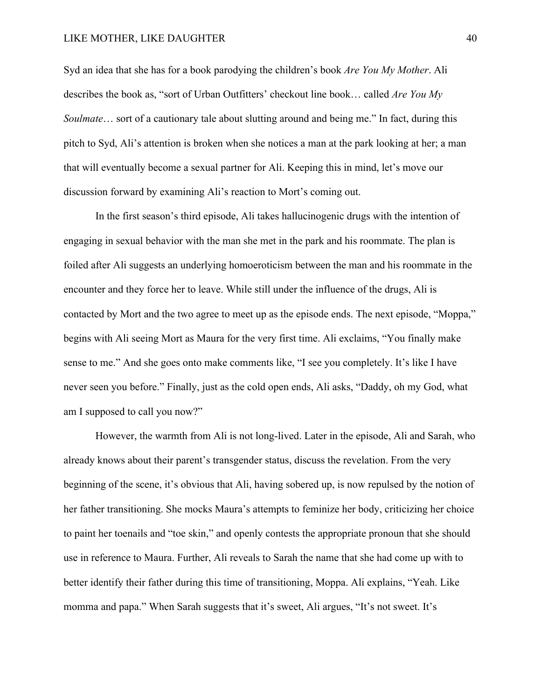Syd an idea that she has for a book parodying the children's book *Are You My Mother*. Ali describes the book as, "sort of Urban Outfitters' checkout line book… called *Are You My Soulmate*… sort of a cautionary tale about slutting around and being me." In fact, during this pitch to Syd, Ali's attention is broken when she notices a man at the park looking at her; a man that will eventually become a sexual partner for Ali. Keeping this in mind, let's move our discussion forward by examining Ali's reaction to Mort's coming out.

In the first season's third episode, Ali takes hallucinogenic drugs with the intention of engaging in sexual behavior with the man she met in the park and his roommate. The plan is foiled after Ali suggests an underlying homoeroticism between the man and his roommate in the encounter and they force her to leave. While still under the influence of the drugs, Ali is contacted by Mort and the two agree to meet up as the episode ends. The next episode, "Moppa," begins with Ali seeing Mort as Maura for the very first time. Ali exclaims, "You finally make sense to me." And she goes onto make comments like, "I see you completely. It's like I have never seen you before." Finally, just as the cold open ends, Ali asks, "Daddy, oh my God, what am I supposed to call you now?"

However, the warmth from Ali is not long-lived. Later in the episode, Ali and Sarah, who already knows about their parent's transgender status, discuss the revelation. From the very beginning of the scene, it's obvious that Ali, having sobered up, is now repulsed by the notion of her father transitioning. She mocks Maura's attempts to feminize her body, criticizing her choice to paint her toenails and "toe skin," and openly contests the appropriate pronoun that she should use in reference to Maura. Further, Ali reveals to Sarah the name that she had come up with to better identify their father during this time of transitioning, Moppa. Ali explains, "Yeah. Like momma and papa." When Sarah suggests that it's sweet, Ali argues, "It's not sweet. It's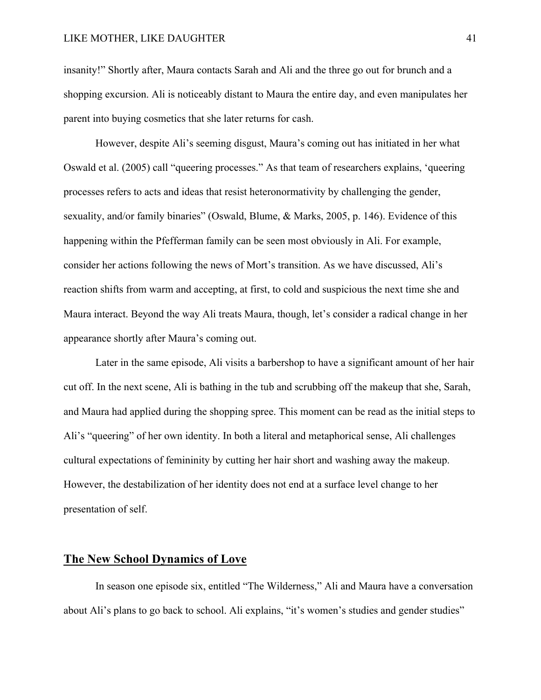insanity!" Shortly after, Maura contacts Sarah and Ali and the three go out for brunch and a shopping excursion. Ali is noticeably distant to Maura the entire day, and even manipulates her parent into buying cosmetics that she later returns for cash.

However, despite Ali's seeming disgust, Maura's coming out has initiated in her what Oswald et al. (2005) call "queering processes." As that team of researchers explains, 'queering processes refers to acts and ideas that resist heteronormativity by challenging the gender, sexuality, and/or family binaries" (Oswald, Blume, & Marks, 2005, p. 146). Evidence of this happening within the Pfefferman family can be seen most obviously in Ali. For example, consider her actions following the news of Mort's transition. As we have discussed, Ali's reaction shifts from warm and accepting, at first, to cold and suspicious the next time she and Maura interact. Beyond the way Ali treats Maura, though, let's consider a radical change in her appearance shortly after Maura's coming out.

Later in the same episode, Ali visits a barbershop to have a significant amount of her hair cut off. In the next scene, Ali is bathing in the tub and scrubbing off the makeup that she, Sarah, and Maura had applied during the shopping spree. This moment can be read as the initial steps to Ali's "queering" of her own identity. In both a literal and metaphorical sense, Ali challenges cultural expectations of femininity by cutting her hair short and washing away the makeup. However, the destabilization of her identity does not end at a surface level change to her presentation of self.

### **The New School Dynamics of Love**

In season one episode six, entitled "The Wilderness," Ali and Maura have a conversation about Ali's plans to go back to school. Ali explains, "it's women's studies and gender studies"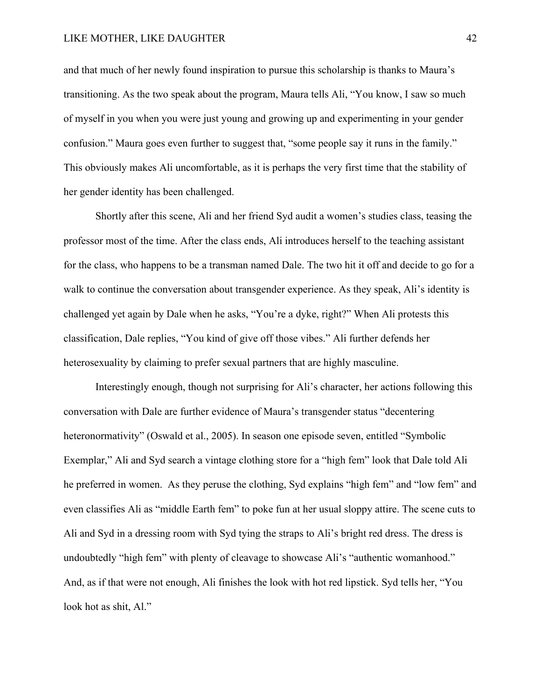and that much of her newly found inspiration to pursue this scholarship is thanks to Maura's transitioning. As the two speak about the program, Maura tells Ali, "You know, I saw so much of myself in you when you were just young and growing up and experimenting in your gender confusion." Maura goes even further to suggest that, "some people say it runs in the family." This obviously makes Ali uncomfortable, as it is perhaps the very first time that the stability of her gender identity has been challenged.

Shortly after this scene, Ali and her friend Syd audit a women's studies class, teasing the professor most of the time. After the class ends, Ali introduces herself to the teaching assistant for the class, who happens to be a transman named Dale. The two hit it off and decide to go for a walk to continue the conversation about transgender experience. As they speak, Ali's identity is challenged yet again by Dale when he asks, "You're a dyke, right?" When Ali protests this classification, Dale replies, "You kind of give off those vibes." Ali further defends her heterosexuality by claiming to prefer sexual partners that are highly masculine.

Interestingly enough, though not surprising for Ali's character, her actions following this conversation with Dale are further evidence of Maura's transgender status "decentering heteronormativity" (Oswald et al., 2005). In season one episode seven, entitled "Symbolic Exemplar," Ali and Syd search a vintage clothing store for a "high fem" look that Dale told Ali he preferred in women. As they peruse the clothing, Syd explains "high fem" and "low fem" and even classifies Ali as "middle Earth fem" to poke fun at her usual sloppy attire. The scene cuts to Ali and Syd in a dressing room with Syd tying the straps to Ali's bright red dress. The dress is undoubtedly "high fem" with plenty of cleavage to showcase Ali's "authentic womanhood." And, as if that were not enough, Ali finishes the look with hot red lipstick. Syd tells her, "You look hot as shit, Al."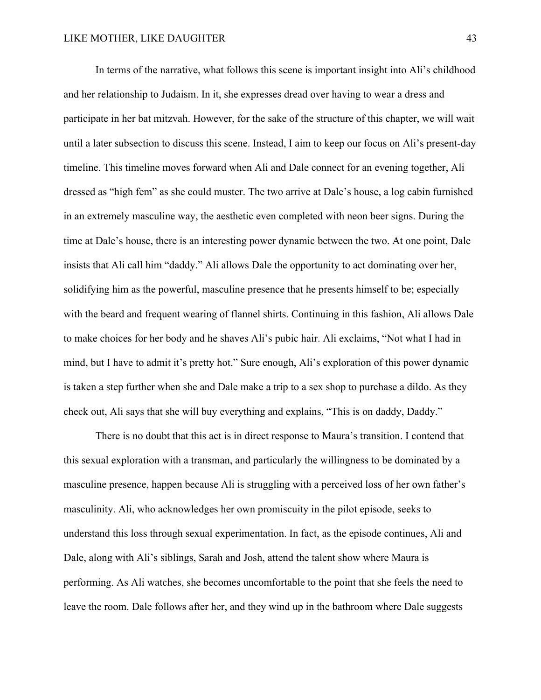In terms of the narrative, what follows this scene is important insight into Ali's childhood and her relationship to Judaism. In it, she expresses dread over having to wear a dress and participate in her bat mitzvah. However, for the sake of the structure of this chapter, we will wait until a later subsection to discuss this scene. Instead, I aim to keep our focus on Ali's present-day timeline. This timeline moves forward when Ali and Dale connect for an evening together, Ali dressed as "high fem" as she could muster. The two arrive at Dale's house, a log cabin furnished in an extremely masculine way, the aesthetic even completed with neon beer signs. During the time at Dale's house, there is an interesting power dynamic between the two. At one point, Dale insists that Ali call him "daddy." Ali allows Dale the opportunity to act dominating over her, solidifying him as the powerful, masculine presence that he presents himself to be; especially with the beard and frequent wearing of flannel shirts. Continuing in this fashion, Ali allows Dale to make choices for her body and he shaves Ali's pubic hair. Ali exclaims, "Not what I had in mind, but I have to admit it's pretty hot." Sure enough, Ali's exploration of this power dynamic is taken a step further when she and Dale make a trip to a sex shop to purchase a dildo. As they check out, Ali says that she will buy everything and explains, "This is on daddy, Daddy."

There is no doubt that this act is in direct response to Maura's transition. I contend that this sexual exploration with a transman, and particularly the willingness to be dominated by a masculine presence, happen because Ali is struggling with a perceived loss of her own father's masculinity. Ali, who acknowledges her own promiscuity in the pilot episode, seeks to understand this loss through sexual experimentation. In fact, as the episode continues, Ali and Dale, along with Ali's siblings, Sarah and Josh, attend the talent show where Maura is performing. As Ali watches, she becomes uncomfortable to the point that she feels the need to leave the room. Dale follows after her, and they wind up in the bathroom where Dale suggests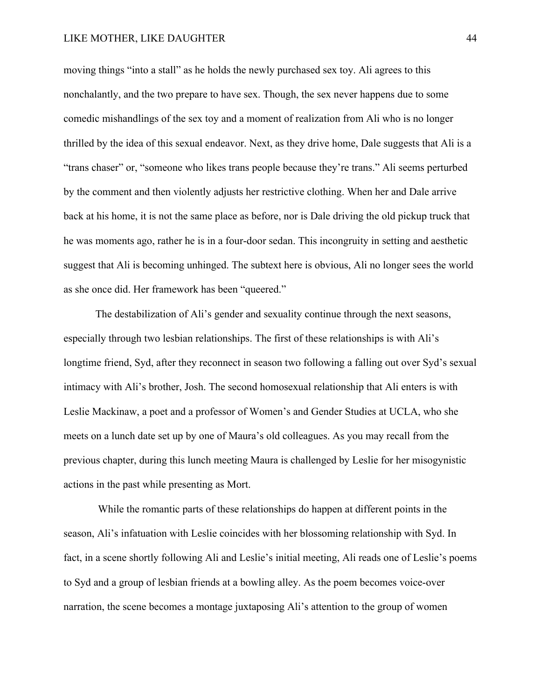moving things "into a stall" as he holds the newly purchased sex toy. Ali agrees to this nonchalantly, and the two prepare to have sex. Though, the sex never happens due to some comedic mishandlings of the sex toy and a moment of realization from Ali who is no longer thrilled by the idea of this sexual endeavor. Next, as they drive home, Dale suggests that Ali is a "trans chaser" or, "someone who likes trans people because they're trans." Ali seems perturbed by the comment and then violently adjusts her restrictive clothing. When her and Dale arrive back at his home, it is not the same place as before, nor is Dale driving the old pickup truck that he was moments ago, rather he is in a four-door sedan. This incongruity in setting and aesthetic suggest that Ali is becoming unhinged. The subtext here is obvious, Ali no longer sees the world as she once did. Her framework has been "queered."

The destabilization of Ali's gender and sexuality continue through the next seasons, especially through two lesbian relationships. The first of these relationships is with Ali's longtime friend, Syd, after they reconnect in season two following a falling out over Syd's sexual intimacy with Ali's brother, Josh. The second homosexual relationship that Ali enters is with Leslie Mackinaw, a poet and a professor of Women's and Gender Studies at UCLA, who she meets on a lunch date set up by one of Maura's old colleagues. As you may recall from the previous chapter, during this lunch meeting Maura is challenged by Leslie for her misogynistic actions in the past while presenting as Mort.

While the romantic parts of these relationships do happen at different points in the season, Ali's infatuation with Leslie coincides with her blossoming relationship with Syd. In fact, in a scene shortly following Ali and Leslie's initial meeting, Ali reads one of Leslie's poems to Syd and a group of lesbian friends at a bowling alley. As the poem becomes voice-over narration, the scene becomes a montage juxtaposing Ali's attention to the group of women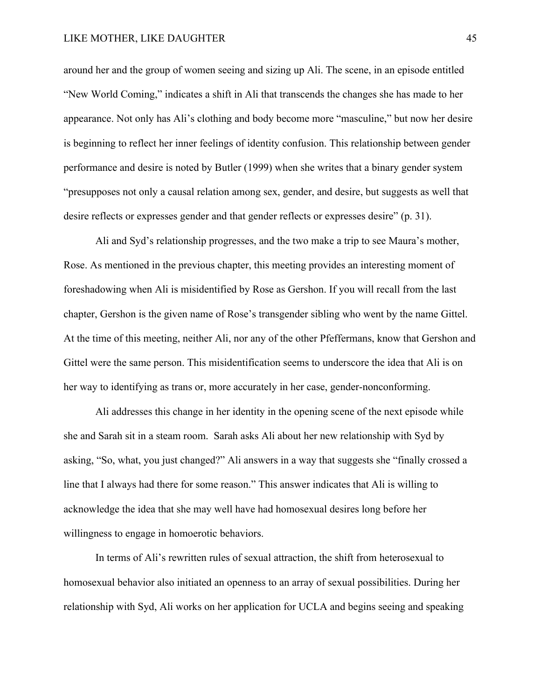around her and the group of women seeing and sizing up Ali. The scene, in an episode entitled "New World Coming," indicates a shift in Ali that transcends the changes she has made to her appearance. Not only has Ali's clothing and body become more "masculine," but now her desire is beginning to reflect her inner feelings of identity confusion. This relationship between gender performance and desire is noted by Butler (1999) when she writes that a binary gender system "presupposes not only a causal relation among sex, gender, and desire, but suggests as well that desire reflects or expresses gender and that gender reflects or expresses desire" (p. 31).

Ali and Syd's relationship progresses, and the two make a trip to see Maura's mother, Rose. As mentioned in the previous chapter, this meeting provides an interesting moment of foreshadowing when Ali is misidentified by Rose as Gershon. If you will recall from the last chapter, Gershon is the given name of Rose's transgender sibling who went by the name Gittel. At the time of this meeting, neither Ali, nor any of the other Pfeffermans, know that Gershon and Gittel were the same person. This misidentification seems to underscore the idea that Ali is on her way to identifying as trans or, more accurately in her case, gender-nonconforming.

Ali addresses this change in her identity in the opening scene of the next episode while she and Sarah sit in a steam room. Sarah asks Ali about her new relationship with Syd by asking, "So, what, you just changed?" Ali answers in a way that suggests she "finally crossed a line that I always had there for some reason." This answer indicates that Ali is willing to acknowledge the idea that she may well have had homosexual desires long before her willingness to engage in homoerotic behaviors.

In terms of Ali's rewritten rules of sexual attraction, the shift from heterosexual to homosexual behavior also initiated an openness to an array of sexual possibilities. During her relationship with Syd, Ali works on her application for UCLA and begins seeing and speaking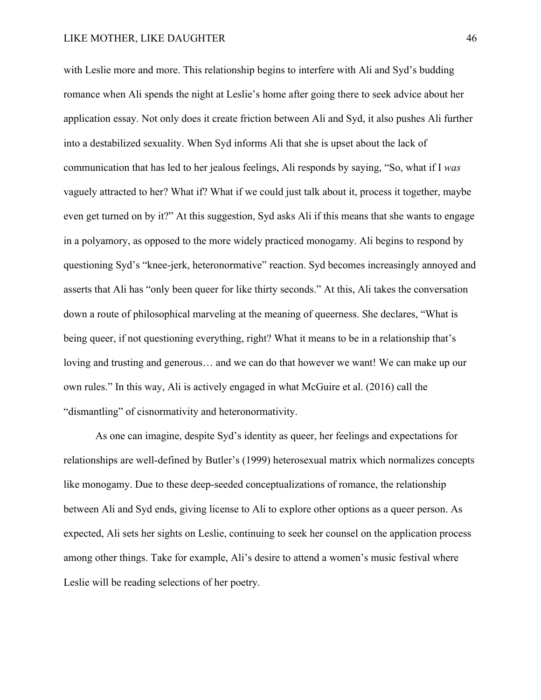with Leslie more and more. This relationship begins to interfere with Ali and Syd's budding romance when Ali spends the night at Leslie's home after going there to seek advice about her application essay. Not only does it create friction between Ali and Syd, it also pushes Ali further into a destabilized sexuality. When Syd informs Ali that she is upset about the lack of communication that has led to her jealous feelings, Ali responds by saying, "So, what if I *was*  vaguely attracted to her? What if? What if we could just talk about it, process it together, maybe even get turned on by it?" At this suggestion, Syd asks Ali if this means that she wants to engage in a polyamory, as opposed to the more widely practiced monogamy. Ali begins to respond by questioning Syd's "knee-jerk, heteronormative" reaction. Syd becomes increasingly annoyed and asserts that Ali has "only been queer for like thirty seconds." At this, Ali takes the conversation down a route of philosophical marveling at the meaning of queerness. She declares, "What is being queer, if not questioning everything, right? What it means to be in a relationship that's loving and trusting and generous… and we can do that however we want! We can make up our own rules." In this way, Ali is actively engaged in what McGuire et al. (2016) call the "dismantling" of cisnormativity and heteronormativity.

As one can imagine, despite Syd's identity as queer, her feelings and expectations for relationships are well-defined by Butler's (1999) heterosexual matrix which normalizes concepts like monogamy. Due to these deep-seeded conceptualizations of romance, the relationship between Ali and Syd ends, giving license to Ali to explore other options as a queer person. As expected, Ali sets her sights on Leslie, continuing to seek her counsel on the application process among other things. Take for example, Ali's desire to attend a women's music festival where Leslie will be reading selections of her poetry.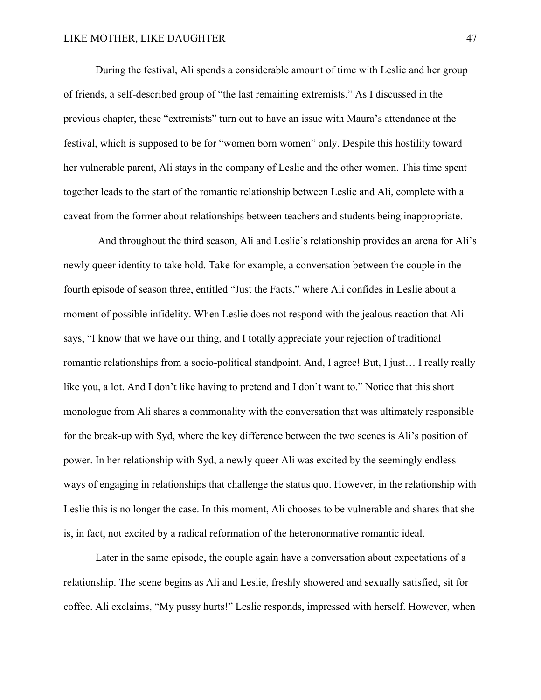During the festival, Ali spends a considerable amount of time with Leslie and her group of friends, a self-described group of "the last remaining extremists." As I discussed in the previous chapter, these "extremists" turn out to have an issue with Maura's attendance at the festival, which is supposed to be for "women born women" only. Despite this hostility toward her vulnerable parent, Ali stays in the company of Leslie and the other women. This time spent together leads to the start of the romantic relationship between Leslie and Ali, complete with a caveat from the former about relationships between teachers and students being inappropriate.

And throughout the third season, Ali and Leslie's relationship provides an arena for Ali's newly queer identity to take hold. Take for example, a conversation between the couple in the fourth episode of season three, entitled "Just the Facts," where Ali confides in Leslie about a moment of possible infidelity. When Leslie does not respond with the jealous reaction that Ali says, "I know that we have our thing, and I totally appreciate your rejection of traditional romantic relationships from a socio-political standpoint. And, I agree! But, I just… I really really like you, a lot. And I don't like having to pretend and I don't want to." Notice that this short monologue from Ali shares a commonality with the conversation that was ultimately responsible for the break-up with Syd, where the key difference between the two scenes is Ali's position of power. In her relationship with Syd, a newly queer Ali was excited by the seemingly endless ways of engaging in relationships that challenge the status quo. However, in the relationship with Leslie this is no longer the case. In this moment, Ali chooses to be vulnerable and shares that she is, in fact, not excited by a radical reformation of the heteronormative romantic ideal.

Later in the same episode, the couple again have a conversation about expectations of a relationship. The scene begins as Ali and Leslie, freshly showered and sexually satisfied, sit for coffee. Ali exclaims, "My pussy hurts!" Leslie responds, impressed with herself. However, when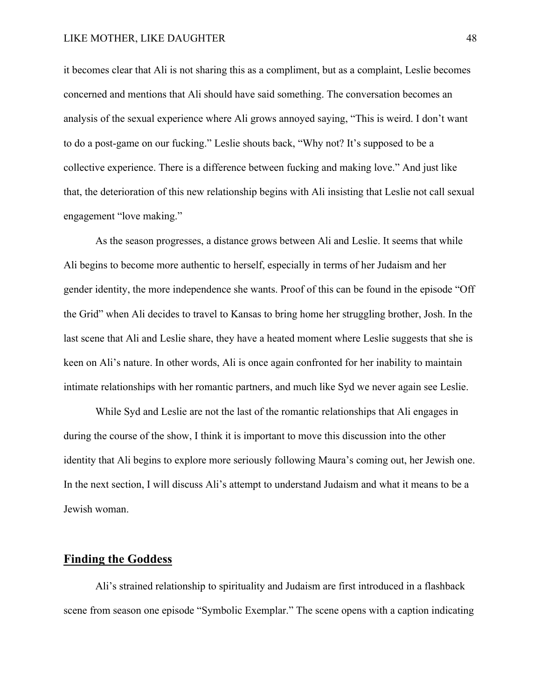it becomes clear that Ali is not sharing this as a compliment, but as a complaint, Leslie becomes concerned and mentions that Ali should have said something. The conversation becomes an analysis of the sexual experience where Ali grows annoyed saying, "This is weird. I don't want to do a post-game on our fucking." Leslie shouts back, "Why not? It's supposed to be a collective experience. There is a difference between fucking and making love." And just like that, the deterioration of this new relationship begins with Ali insisting that Leslie not call sexual engagement "love making."

As the season progresses, a distance grows between Ali and Leslie. It seems that while Ali begins to become more authentic to herself, especially in terms of her Judaism and her gender identity, the more independence she wants. Proof of this can be found in the episode "Off the Grid" when Ali decides to travel to Kansas to bring home her struggling brother, Josh. In the last scene that Ali and Leslie share, they have a heated moment where Leslie suggests that she is keen on Ali's nature. In other words, Ali is once again confronted for her inability to maintain intimate relationships with her romantic partners, and much like Syd we never again see Leslie.

While Syd and Leslie are not the last of the romantic relationships that Ali engages in during the course of the show, I think it is important to move this discussion into the other identity that Ali begins to explore more seriously following Maura's coming out, her Jewish one. In the next section, I will discuss Ali's attempt to understand Judaism and what it means to be a Jewish woman.

## **Finding the Goddess**

Ali's strained relationship to spirituality and Judaism are first introduced in a flashback scene from season one episode "Symbolic Exemplar." The scene opens with a caption indicating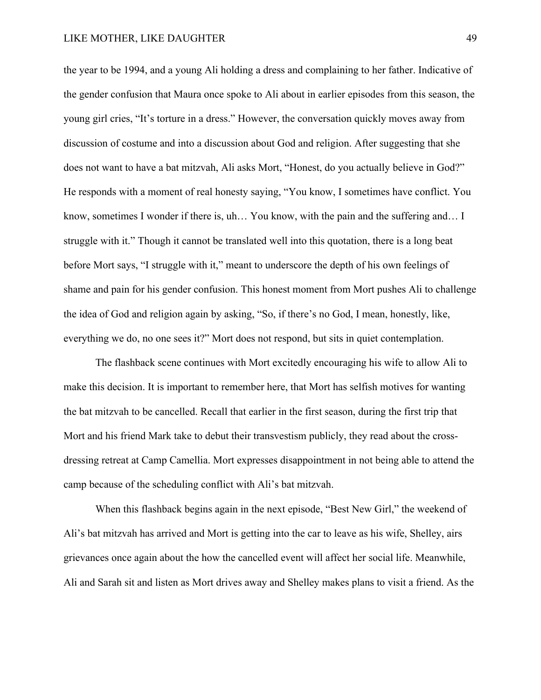the year to be 1994, and a young Ali holding a dress and complaining to her father. Indicative of the gender confusion that Maura once spoke to Ali about in earlier episodes from this season, the young girl cries, "It's torture in a dress." However, the conversation quickly moves away from discussion of costume and into a discussion about God and religion. After suggesting that she does not want to have a bat mitzvah, Ali asks Mort, "Honest, do you actually believe in God?" He responds with a moment of real honesty saying, "You know, I sometimes have conflict. You know, sometimes I wonder if there is, uh… You know, with the pain and the suffering and… I struggle with it." Though it cannot be translated well into this quotation, there is a long beat before Mort says, "I struggle with it," meant to underscore the depth of his own feelings of shame and pain for his gender confusion. This honest moment from Mort pushes Ali to challenge the idea of God and religion again by asking, "So, if there's no God, I mean, honestly, like, everything we do, no one sees it?" Mort does not respond, but sits in quiet contemplation.

The flashback scene continues with Mort excitedly encouraging his wife to allow Ali to make this decision. It is important to remember here, that Mort has selfish motives for wanting the bat mitzvah to be cancelled. Recall that earlier in the first season, during the first trip that Mort and his friend Mark take to debut their transvestism publicly, they read about the crossdressing retreat at Camp Camellia. Mort expresses disappointment in not being able to attend the camp because of the scheduling conflict with Ali's bat mitzvah.

When this flashback begins again in the next episode, "Best New Girl," the weekend of Ali's bat mitzvah has arrived and Mort is getting into the car to leave as his wife, Shelley, airs grievances once again about the how the cancelled event will affect her social life. Meanwhile, Ali and Sarah sit and listen as Mort drives away and Shelley makes plans to visit a friend. As the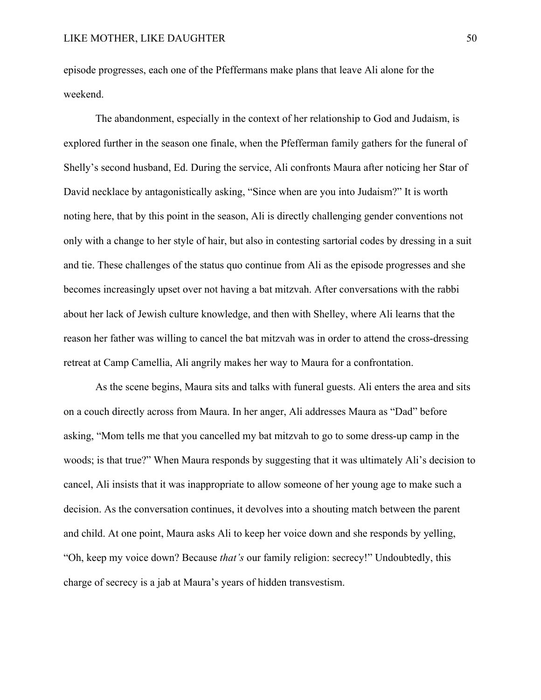episode progresses, each one of the Pfeffermans make plans that leave Ali alone for the weekend.

The abandonment, especially in the context of her relationship to God and Judaism, is explored further in the season one finale, when the Pfefferman family gathers for the funeral of Shelly's second husband, Ed. During the service, Ali confronts Maura after noticing her Star of David necklace by antagonistically asking, "Since when are you into Judaism?" It is worth noting here, that by this point in the season, Ali is directly challenging gender conventions not only with a change to her style of hair, but also in contesting sartorial codes by dressing in a suit and tie. These challenges of the status quo continue from Ali as the episode progresses and she becomes increasingly upset over not having a bat mitzvah. After conversations with the rabbi about her lack of Jewish culture knowledge, and then with Shelley, where Ali learns that the reason her father was willing to cancel the bat mitzvah was in order to attend the cross-dressing retreat at Camp Camellia, Ali angrily makes her way to Maura for a confrontation.

As the scene begins, Maura sits and talks with funeral guests. Ali enters the area and sits on a couch directly across from Maura. In her anger, Ali addresses Maura as "Dad" before asking, "Mom tells me that you cancelled my bat mitzvah to go to some dress-up camp in the woods; is that true?" When Maura responds by suggesting that it was ultimately Ali's decision to cancel, Ali insists that it was inappropriate to allow someone of her young age to make such a decision. As the conversation continues, it devolves into a shouting match between the parent and child. At one point, Maura asks Ali to keep her voice down and she responds by yelling, "Oh, keep my voice down? Because *that's* our family religion: secrecy!" Undoubtedly, this charge of secrecy is a jab at Maura's years of hidden transvestism.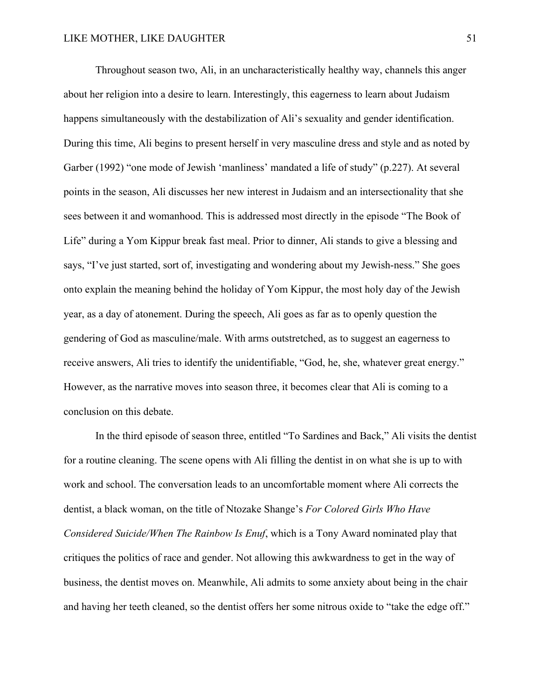Throughout season two, Ali, in an uncharacteristically healthy way, channels this anger about her religion into a desire to learn. Interestingly, this eagerness to learn about Judaism happens simultaneously with the destabilization of Ali's sexuality and gender identification. During this time, Ali begins to present herself in very masculine dress and style and as noted by Garber (1992) "one mode of Jewish 'manliness' mandated a life of study" (p.227). At several points in the season, Ali discusses her new interest in Judaism and an intersectionality that she sees between it and womanhood. This is addressed most directly in the episode "The Book of Life" during a Yom Kippur break fast meal. Prior to dinner, Ali stands to give a blessing and says, "I've just started, sort of, investigating and wondering about my Jewish-ness." She goes onto explain the meaning behind the holiday of Yom Kippur, the most holy day of the Jewish year, as a day of atonement. During the speech, Ali goes as far as to openly question the gendering of God as masculine/male. With arms outstretched, as to suggest an eagerness to receive answers, Ali tries to identify the unidentifiable, "God, he, she, whatever great energy." However, as the narrative moves into season three, it becomes clear that Ali is coming to a conclusion on this debate.

In the third episode of season three, entitled "To Sardines and Back," Ali visits the dentist for a routine cleaning. The scene opens with Ali filling the dentist in on what she is up to with work and school. The conversation leads to an uncomfortable moment where Ali corrects the dentist, a black woman, on the title of Ntozake Shange's *For Colored Girls Who Have Considered Suicide/When The Rainbow Is Enuf*, which is a Tony Award nominated play that critiques the politics of race and gender. Not allowing this awkwardness to get in the way of business, the dentist moves on. Meanwhile, Ali admits to some anxiety about being in the chair and having her teeth cleaned, so the dentist offers her some nitrous oxide to "take the edge off."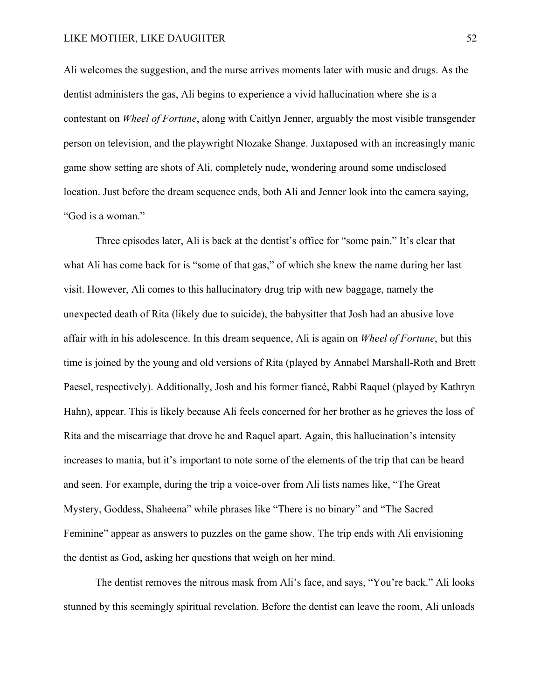Ali welcomes the suggestion, and the nurse arrives moments later with music and drugs. As the dentist administers the gas, Ali begins to experience a vivid hallucination where she is a contestant on *Wheel of Fortune*, along with Caitlyn Jenner, arguably the most visible transgender person on television, and the playwright Ntozake Shange. Juxtaposed with an increasingly manic game show setting are shots of Ali, completely nude, wondering around some undisclosed location. Just before the dream sequence ends, both Ali and Jenner look into the camera saying, "God is a woman."

Three episodes later, Ali is back at the dentist's office for "some pain." It's clear that what Ali has come back for is "some of that gas," of which she knew the name during her last visit. However, Ali comes to this hallucinatory drug trip with new baggage, namely the unexpected death of Rita (likely due to suicide), the babysitter that Josh had an abusive love affair with in his adolescence. In this dream sequence, Ali is again on *Wheel of Fortune*, but this time is joined by the young and old versions of Rita (played by Annabel Marshall-Roth and Brett Paesel, respectively). Additionally, Josh and his former fiancé, Rabbi Raquel (played by Kathryn Hahn), appear. This is likely because Ali feels concerned for her brother as he grieves the loss of Rita and the miscarriage that drove he and Raquel apart. Again, this hallucination's intensity increases to mania, but it's important to note some of the elements of the trip that can be heard and seen. For example, during the trip a voice-over from Ali lists names like, "The Great Mystery, Goddess, Shaheena" while phrases like "There is no binary" and "The Sacred Feminine" appear as answers to puzzles on the game show. The trip ends with Ali envisioning the dentist as God, asking her questions that weigh on her mind.

The dentist removes the nitrous mask from Ali's face, and says, "You're back." Ali looks stunned by this seemingly spiritual revelation. Before the dentist can leave the room, Ali unloads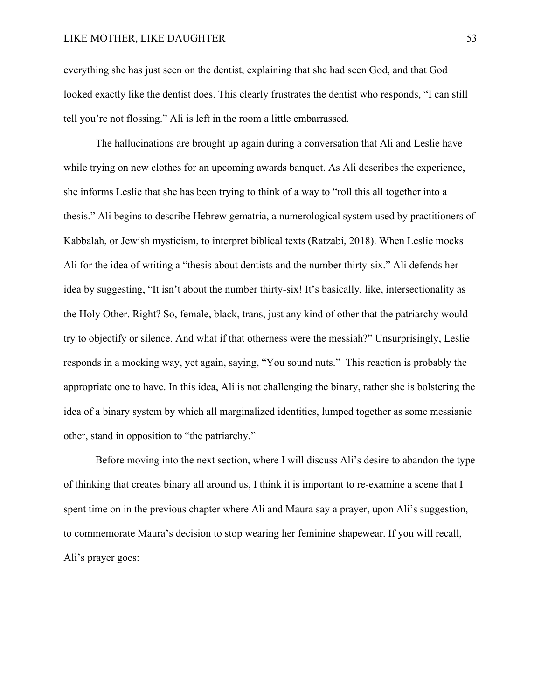everything she has just seen on the dentist, explaining that she had seen God, and that God looked exactly like the dentist does. This clearly frustrates the dentist who responds, "I can still tell you're not flossing." Ali is left in the room a little embarrassed.

The hallucinations are brought up again during a conversation that Ali and Leslie have while trying on new clothes for an upcoming awards banquet. As Ali describes the experience, she informs Leslie that she has been trying to think of a way to "roll this all together into a thesis." Ali begins to describe Hebrew gematria, a numerological system used by practitioners of Kabbalah, or Jewish mysticism, to interpret biblical texts (Ratzabi, 2018). When Leslie mocks Ali for the idea of writing a "thesis about dentists and the number thirty-six." Ali defends her idea by suggesting, "It isn't about the number thirty-six! It's basically, like, intersectionality as the Holy Other. Right? So, female, black, trans, just any kind of other that the patriarchy would try to objectify or silence. And what if that otherness were the messiah?" Unsurprisingly, Leslie responds in a mocking way, yet again, saying, "You sound nuts." This reaction is probably the appropriate one to have. In this idea, Ali is not challenging the binary, rather she is bolstering the idea of a binary system by which all marginalized identities, lumped together as some messianic other, stand in opposition to "the patriarchy."

Before moving into the next section, where I will discuss Ali's desire to abandon the type of thinking that creates binary all around us, I think it is important to re-examine a scene that I spent time on in the previous chapter where Ali and Maura say a prayer, upon Ali's suggestion, to commemorate Maura's decision to stop wearing her feminine shapewear. If you will recall, Ali's prayer goes: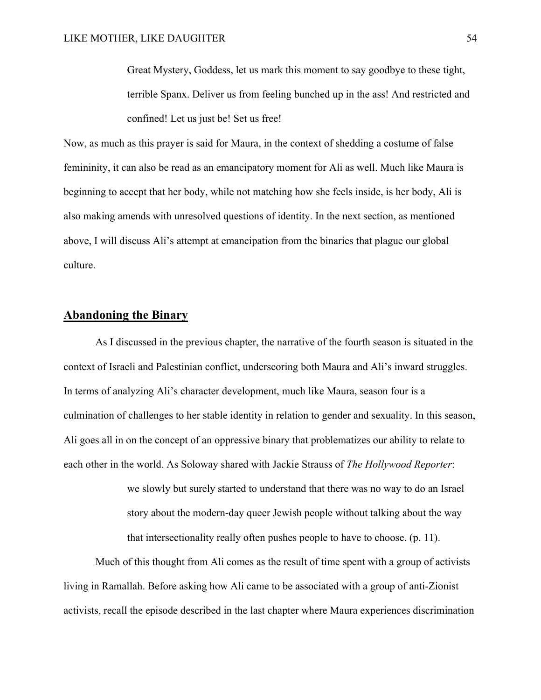Great Mystery, Goddess, let us mark this moment to say goodbye to these tight, terrible Spanx. Deliver us from feeling bunched up in the ass! And restricted and confined! Let us just be! Set us free!

Now, as much as this prayer is said for Maura, in the context of shedding a costume of false femininity, it can also be read as an emancipatory moment for Ali as well. Much like Maura is beginning to accept that her body, while not matching how she feels inside, is her body, Ali is also making amends with unresolved questions of identity. In the next section, as mentioned above, I will discuss Ali's attempt at emancipation from the binaries that plague our global culture.

## **Abandoning the Binary**

As I discussed in the previous chapter, the narrative of the fourth season is situated in the context of Israeli and Palestinian conflict, underscoring both Maura and Ali's inward struggles. In terms of analyzing Ali's character development, much like Maura, season four is a culmination of challenges to her stable identity in relation to gender and sexuality. In this season, Ali goes all in on the concept of an oppressive binary that problematizes our ability to relate to each other in the world. As Soloway shared with Jackie Strauss of *The Hollywood Reporter*:

> we slowly but surely started to understand that there was no way to do an Israel story about the modern-day queer Jewish people without talking about the way that intersectionality really often pushes people to have to choose. (p. 11).

Much of this thought from Ali comes as the result of time spent with a group of activists living in Ramallah. Before asking how Ali came to be associated with a group of anti-Zionist activists, recall the episode described in the last chapter where Maura experiences discrimination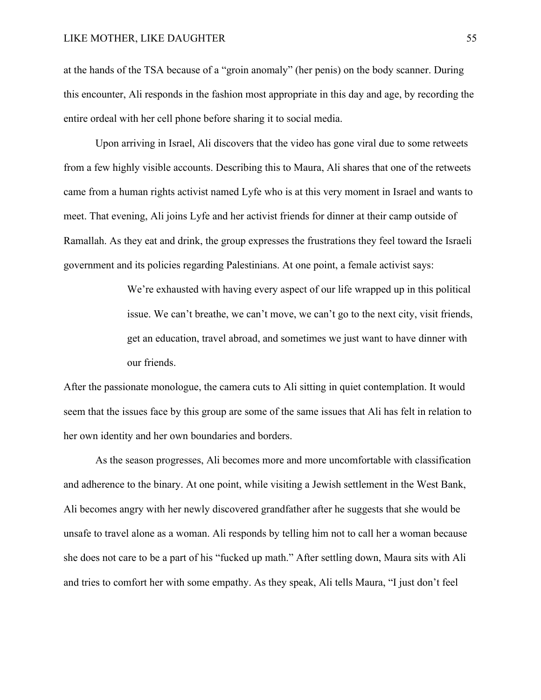at the hands of the TSA because of a "groin anomaly" (her penis) on the body scanner. During this encounter, Ali responds in the fashion most appropriate in this day and age, by recording the entire ordeal with her cell phone before sharing it to social media.

Upon arriving in Israel, Ali discovers that the video has gone viral due to some retweets from a few highly visible accounts. Describing this to Maura, Ali shares that one of the retweets came from a human rights activist named Lyfe who is at this very moment in Israel and wants to meet. That evening, Ali joins Lyfe and her activist friends for dinner at their camp outside of Ramallah. As they eat and drink, the group expresses the frustrations they feel toward the Israeli government and its policies regarding Palestinians. At one point, a female activist says:

> We're exhausted with having every aspect of our life wrapped up in this political issue. We can't breathe, we can't move, we can't go to the next city, visit friends, get an education, travel abroad, and sometimes we just want to have dinner with our friends.

After the passionate monologue, the camera cuts to Ali sitting in quiet contemplation. It would seem that the issues face by this group are some of the same issues that Ali has felt in relation to her own identity and her own boundaries and borders.

As the season progresses, Ali becomes more and more uncomfortable with classification and adherence to the binary. At one point, while visiting a Jewish settlement in the West Bank, Ali becomes angry with her newly discovered grandfather after he suggests that she would be unsafe to travel alone as a woman. Ali responds by telling him not to call her a woman because she does not care to be a part of his "fucked up math." After settling down, Maura sits with Ali and tries to comfort her with some empathy. As they speak, Ali tells Maura, "I just don't feel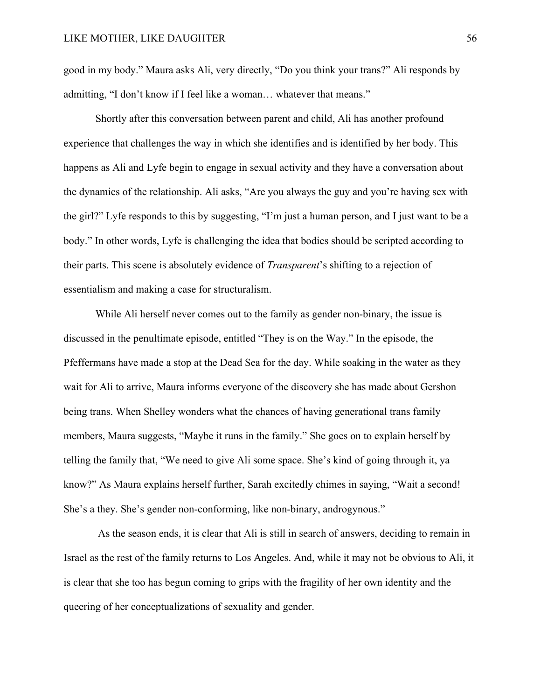good in my body." Maura asks Ali, very directly, "Do you think your trans?" Ali responds by admitting, "I don't know if I feel like a woman… whatever that means."

Shortly after this conversation between parent and child, Ali has another profound experience that challenges the way in which she identifies and is identified by her body. This happens as Ali and Lyfe begin to engage in sexual activity and they have a conversation about the dynamics of the relationship. Ali asks, "Are you always the guy and you're having sex with the girl?" Lyfe responds to this by suggesting, "I'm just a human person, and I just want to be a body." In other words, Lyfe is challenging the idea that bodies should be scripted according to their parts. This scene is absolutely evidence of *Transparent*'s shifting to a rejection of essentialism and making a case for structuralism.

While Ali herself never comes out to the family as gender non-binary, the issue is discussed in the penultimate episode, entitled "They is on the Way." In the episode, the Pfeffermans have made a stop at the Dead Sea for the day. While soaking in the water as they wait for Ali to arrive, Maura informs everyone of the discovery she has made about Gershon being trans. When Shelley wonders what the chances of having generational trans family members, Maura suggests, "Maybe it runs in the family." She goes on to explain herself by telling the family that, "We need to give Ali some space. She's kind of going through it, ya know?" As Maura explains herself further, Sarah excitedly chimes in saying, "Wait a second! She's a they. She's gender non-conforming, like non-binary, androgynous."

As the season ends, it is clear that Ali is still in search of answers, deciding to remain in Israel as the rest of the family returns to Los Angeles. And, while it may not be obvious to Ali, it is clear that she too has begun coming to grips with the fragility of her own identity and the queering of her conceptualizations of sexuality and gender.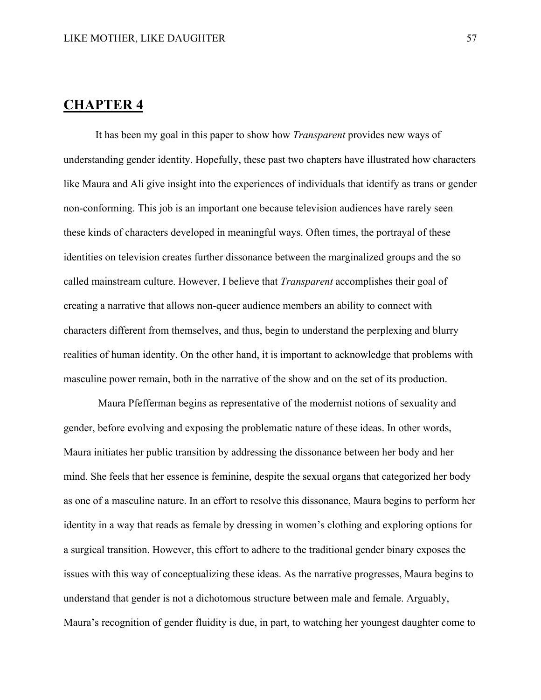# **CHAPTER 4**

It has been my goal in this paper to show how *Transparent* provides new ways of understanding gender identity. Hopefully, these past two chapters have illustrated how characters like Maura and Ali give insight into the experiences of individuals that identify as trans or gender non-conforming. This job is an important one because television audiences have rarely seen these kinds of characters developed in meaningful ways. Often times, the portrayal of these identities on television creates further dissonance between the marginalized groups and the so called mainstream culture. However, I believe that *Transparent* accomplishes their goal of creating a narrative that allows non-queer audience members an ability to connect with characters different from themselves, and thus, begin to understand the perplexing and blurry realities of human identity. On the other hand, it is important to acknowledge that problems with masculine power remain, both in the narrative of the show and on the set of its production.

Maura Pfefferman begins as representative of the modernist notions of sexuality and gender, before evolving and exposing the problematic nature of these ideas. In other words, Maura initiates her public transition by addressing the dissonance between her body and her mind. She feels that her essence is feminine, despite the sexual organs that categorized her body as one of a masculine nature. In an effort to resolve this dissonance, Maura begins to perform her identity in a way that reads as female by dressing in women's clothing and exploring options for a surgical transition. However, this effort to adhere to the traditional gender binary exposes the issues with this way of conceptualizing these ideas. As the narrative progresses, Maura begins to understand that gender is not a dichotomous structure between male and female. Arguably, Maura's recognition of gender fluidity is due, in part, to watching her youngest daughter come to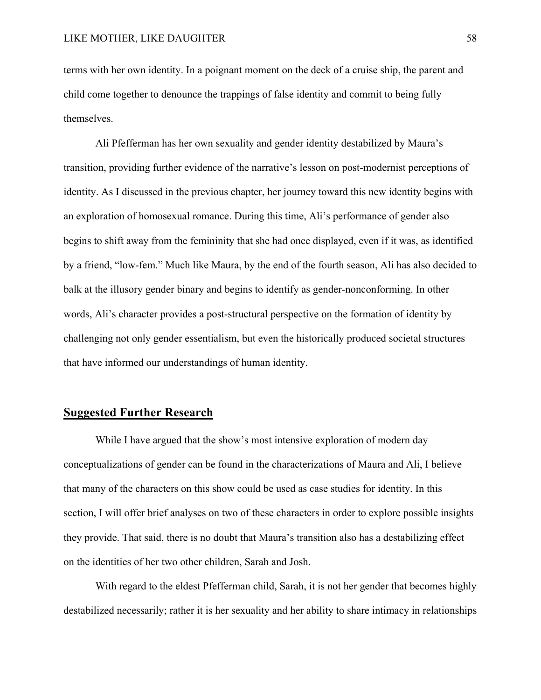terms with her own identity. In a poignant moment on the deck of a cruise ship, the parent and child come together to denounce the trappings of false identity and commit to being fully themselves.

Ali Pfefferman has her own sexuality and gender identity destabilized by Maura's transition, providing further evidence of the narrative's lesson on post-modernist perceptions of identity. As I discussed in the previous chapter, her journey toward this new identity begins with an exploration of homosexual romance. During this time, Ali's performance of gender also begins to shift away from the femininity that she had once displayed, even if it was, as identified by a friend, "low-fem." Much like Maura, by the end of the fourth season, Ali has also decided to balk at the illusory gender binary and begins to identify as gender-nonconforming. In other words, Ali's character provides a post-structural perspective on the formation of identity by challenging not only gender essentialism, but even the historically produced societal structures that have informed our understandings of human identity.

## **Suggested Further Research**

While I have argued that the show's most intensive exploration of modern day conceptualizations of gender can be found in the characterizations of Maura and Ali, I believe that many of the characters on this show could be used as case studies for identity. In this section, I will offer brief analyses on two of these characters in order to explore possible insights they provide. That said, there is no doubt that Maura's transition also has a destabilizing effect on the identities of her two other children, Sarah and Josh.

With regard to the eldest Pfefferman child, Sarah, it is not her gender that becomes highly destabilized necessarily; rather it is her sexuality and her ability to share intimacy in relationships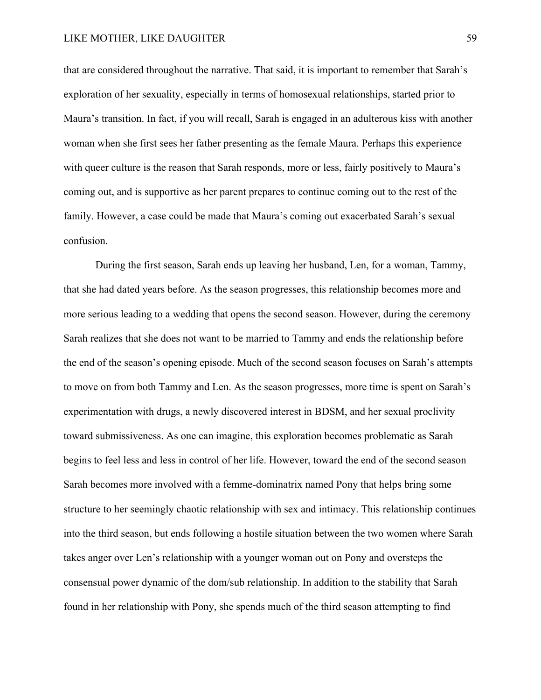that are considered throughout the narrative. That said, it is important to remember that Sarah's exploration of her sexuality, especially in terms of homosexual relationships, started prior to Maura's transition. In fact, if you will recall, Sarah is engaged in an adulterous kiss with another woman when she first sees her father presenting as the female Maura. Perhaps this experience with queer culture is the reason that Sarah responds, more or less, fairly positively to Maura's coming out, and is supportive as her parent prepares to continue coming out to the rest of the family. However, a case could be made that Maura's coming out exacerbated Sarah's sexual confusion.

During the first season, Sarah ends up leaving her husband, Len, for a woman, Tammy, that she had dated years before. As the season progresses, this relationship becomes more and more serious leading to a wedding that opens the second season. However, during the ceremony Sarah realizes that she does not want to be married to Tammy and ends the relationship before the end of the season's opening episode. Much of the second season focuses on Sarah's attempts to move on from both Tammy and Len. As the season progresses, more time is spent on Sarah's experimentation with drugs, a newly discovered interest in BDSM, and her sexual proclivity toward submissiveness. As one can imagine, this exploration becomes problematic as Sarah begins to feel less and less in control of her life. However, toward the end of the second season Sarah becomes more involved with a femme-dominatrix named Pony that helps bring some structure to her seemingly chaotic relationship with sex and intimacy. This relationship continues into the third season, but ends following a hostile situation between the two women where Sarah takes anger over Len's relationship with a younger woman out on Pony and oversteps the consensual power dynamic of the dom/sub relationship. In addition to the stability that Sarah found in her relationship with Pony, she spends much of the third season attempting to find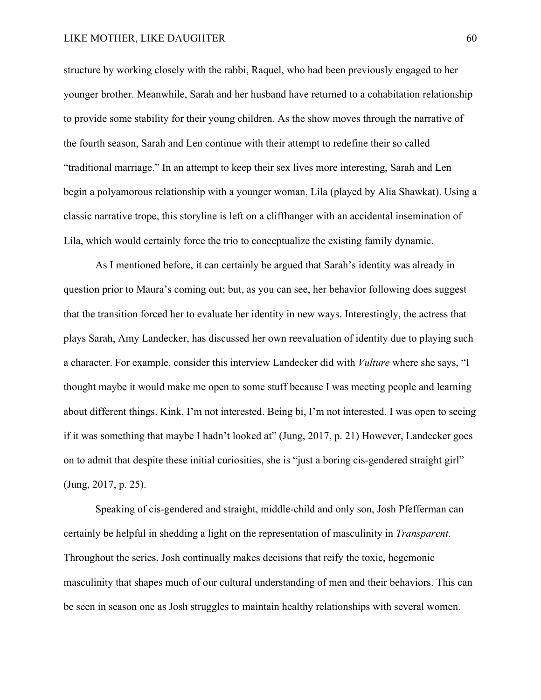structure by working closely with the rabbi, Raquel, who had been previously engaged to her younger brother. Meanwhile, Sarah and her husband have returned to a cohabitation relationship to provide some stability for their young children. As the show moves through the narrative of the fourth season, Sarah and Len continue with their attempt to redefine their so called "traditional marriage." In an attempt to keep their sex lives more interesting, Sarah and Len begin a polyamorous relationship with a younger woman, Lila (played by Alia Shawkat). Using a classic narrative trope, this storyline is left on a cliffhanger with an accidental insemination of Lila, which would certainly force the trio to conceptualize the existing family dynamic.

As I mentioned before, it can certainly be argued that Sarah's identity was already in question prior to Maura's coming out; but, as you can see, her behavior following does suggest that the transition forced her to evaluate her identity in new ways. Interestingly, the actress that plays Sarah, Amy Landecker, has discussed her own reevaluation of identity due to playing such a character. For example, consider this interview Landecker did with *Vulture* where she says, "I thought maybe it would make me open to some stuff because I was meeting people and learning about different things. Kink, I'm not interested. Being bi, I'm not interested. I was open to seeing if it was something that maybe I hadn't looked at" (Jung, 2017, p. 21) However, Landecker goes on to admit that despite these initial curiosities, she is "just a boring cis-gendered straight girl" (Jung, 2017, p. 25).

Speaking of cis-gendered and straight, middle-child and only son, Josh Pfefferman can certainly be helpful in shedding a light on the representation of masculinity in *Transparent*. Throughout the series, Josh continually makes decisions that reify the toxic, hegemonic masculinity that shapes much of our cultural understanding of men and their behaviors. This can be seen in season one as Josh struggles to maintain healthy relationships with several women.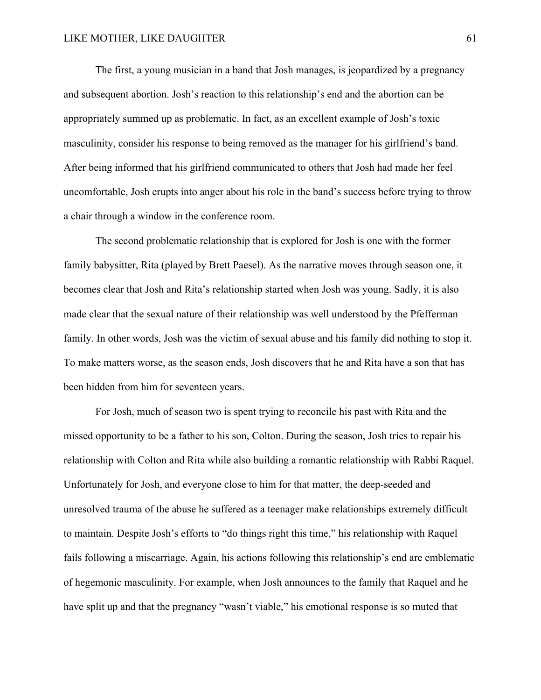The first, a young musician in a band that Josh manages, is jeopardized by a pregnancy and subsequent abortion. Josh's reaction to this relationship's end and the abortion can be appropriately summed up as problematic. In fact, as an excellent example of Josh's toxic masculinity, consider his response to being removed as the manager for his girlfriend's band. After being informed that his girlfriend communicated to others that Josh had made her feel uncomfortable, Josh erupts into anger about his role in the band's success before trying to throw a chair through a window in the conference room.

The second problematic relationship that is explored for Josh is one with the former family babysitter, Rita (played by Brett Paesel). As the narrative moves through season one, it becomes clear that Josh and Rita's relationship started when Josh was young. Sadly, it is also made clear that the sexual nature of their relationship was well understood by the Pfefferman family. In other words, Josh was the victim of sexual abuse and his family did nothing to stop it. To make matters worse, as the season ends, Josh discovers that he and Rita have a son that has been hidden from him for seventeen years.

For Josh, much of season two is spent trying to reconcile his past with Rita and the missed opportunity to be a father to his son, Colton. During the season, Josh tries to repair his relationship with Colton and Rita while also building a romantic relationship with Rabbi Raquel. Unfortunately for Josh, and everyone close to him for that matter, the deep-seeded and unresolved trauma of the abuse he suffered as a teenager make relationships extremely difficult to maintain. Despite Josh's efforts to "do things right this time," his relationship with Raquel fails following a miscarriage. Again, his actions following this relationship's end are emblematic of hegemonic masculinity. For example, when Josh announces to the family that Raquel and he have split up and that the pregnancy "wasn't viable," his emotional response is so muted that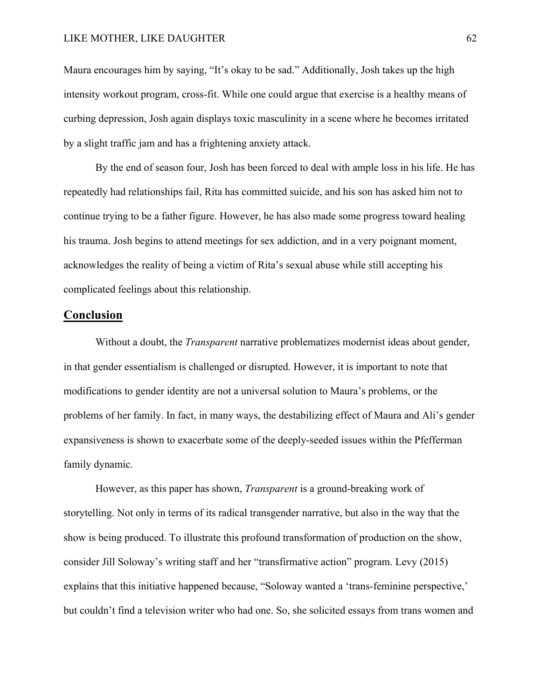Maura encourages him by saying, "It's okay to be sad." Additionally, Josh takes up the high intensity workout program, cross-fit. While one could argue that exercise is a healthy means of curbing depression, Josh again displays toxic masculinity in a scene where he becomes irritated by a slight traffic jam and has a frightening anxiety attack.

By the end of season four, Josh has been forced to deal with ample loss in his life. He has repeatedly had relationships fail, Rita has committed suicide, and his son has asked him not to continue trying to be a father figure. However, he has also made some progress toward healing his trauma. Josh begins to attend meetings for sex addiction, and in a very poignant moment, acknowledges the reality of being a victim of Rita's sexual abuse while still accepting his complicated feelings about this relationship.

### **Conclusion**

Without a doubt, the *Transparent* narrative problematizes modernist ideas about gender, in that gender essentialism is challenged or disrupted. However, it is important to note that modifications to gender identity are not a universal solution to Maura's problems, or the problems of her family. In fact, in many ways, the destabilizing effect of Maura and Ali's gender expansiveness is shown to exacerbate some of the deeply-seeded issues within the Pfefferman family dynamic.

However, as this paper has shown, *Transparent* is a ground-breaking work of storytelling. Not only in terms of its radical transgender narrative, but also in the way that the show is being produced. To illustrate this profound transformation of production on the show, consider Jill Soloway's writing staff and her "transfirmative action" program. Levy (2015) explains that this initiative happened because, "Soloway wanted a 'trans-feminine perspective,' but couldn't find a television writer who had one. So, she solicited essays from trans women and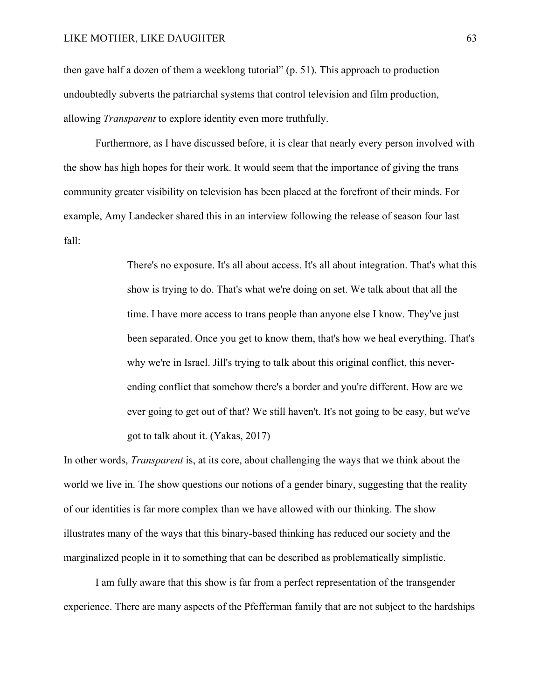then gave half a dozen of them a weeklong tutorial" (p. 51). This approach to production undoubtedly subverts the patriarchal systems that control television and film production, allowing *Transparent* to explore identity even more truthfully.

Furthermore, as I have discussed before, it is clear that nearly every person involved with the show has high hopes for their work. It would seem that the importance of giving the trans community greater visibility on television has been placed at the forefront of their minds. For example, Amy Landecker shared this in an interview following the release of season four last fall:

> There's no exposure. It's all about access. It's all about integration. That's what this show is trying to do. That's what we're doing on set. We talk about that all the time. I have more access to trans people than anyone else I know. They've just been separated. Once you get to know them, that's how we heal everything. That's why we're in Israel. Jill's trying to talk about this original conflict, this neverending conflict that somehow there's a border and you're different. How are we ever going to get out of that? We still haven't. It's not going to be easy, but we've got to talk about it. (Yakas, 2017)

In other words, *Transparent* is, at its core, about challenging the ways that we think about the world we live in. The show questions our notions of a gender binary, suggesting that the reality of our identities is far more complex than we have allowed with our thinking. The show illustrates many of the ways that this binary-based thinking has reduced our society and the marginalized people in it to something that can be described as problematically simplistic.

I am fully aware that this show is far from a perfect representation of the transgender experience. There are many aspects of the Pfefferman family that are not subject to the hardships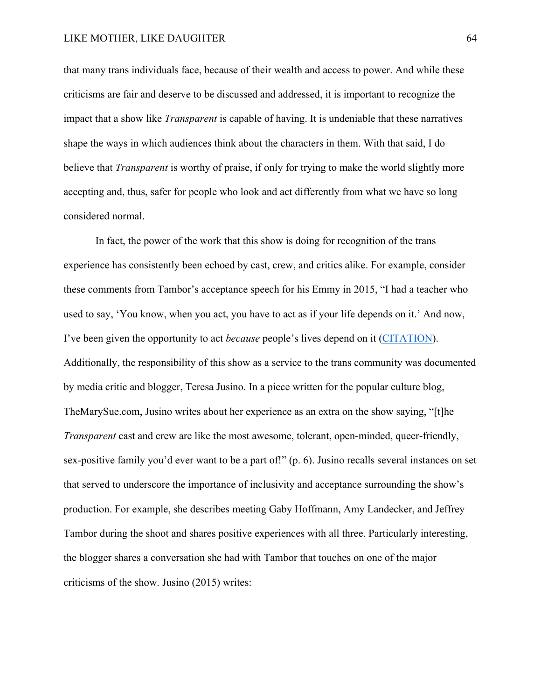that many trans individuals face, because of their wealth and access to power. And while these criticisms are fair and deserve to be discussed and addressed, it is important to recognize the impact that a show like *Transparent* is capable of having. It is undeniable that these narratives shape the ways in which audiences think about the characters in them. With that said, I do believe that *Transparent* is worthy of praise, if only for trying to make the world slightly more accepting and, thus, safer for people who look and act differently from what we have so long considered normal.

In fact, the power of the work that this show is doing for recognition of the trans experience has consistently been echoed by cast, crew, and critics alike. For example, consider these comments from Tambor's acceptance speech for his Emmy in 2015, "I had a teacher who used to say, 'You know, when you act, you have to act as if your life depends on it.' And now, I've been given the opportunity to act *because* people's lives depend on it (CITATION). Additionally, the responsibility of this show as a service to the trans community was documented by media critic and blogger, Teresa Jusino. In a piece written for the popular culture blog, TheMarySue.com, Jusino writes about her experience as an extra on the show saying, "[t]he *Transparent* cast and crew are like the most awesome, tolerant, open-minded, queer-friendly, sex-positive family you'd ever want to be a part of!" (p. 6). Jusino recalls several instances on set that served to underscore the importance of inclusivity and acceptance surrounding the show's production. For example, she describes meeting Gaby Hoffmann, Amy Landecker, and Jeffrey Tambor during the shoot and shares positive experiences with all three. Particularly interesting, the blogger shares a conversation she had with Tambor that touches on one of the major criticisms of the show. Jusino (2015) writes: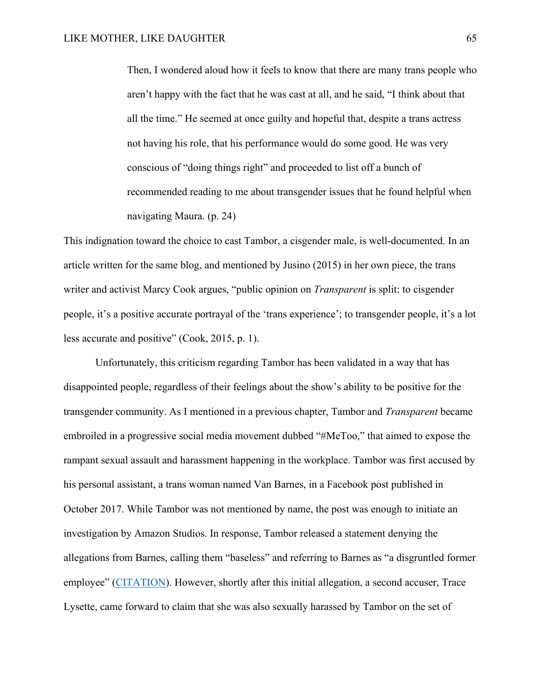Then, I wondered aloud how it feels to know that there are many trans people who aren't happy with the fact that he was cast at all, and he said, "I think about that all the time." He seemed at once guilty and hopeful that, despite a trans actress not having his role, that his performance would do some good. He was very conscious of "doing things right" and proceeded to list off a bunch of recommended reading to me about transgender issues that he found helpful when navigating Maura. (p. 24)

This indignation toward the choice to cast Tambor, a cisgender male, is well-documented. In an article written for the same blog, and mentioned by Jusino (2015) in her own piece, the trans writer and activist Marcy Cook argues, "public opinion on *Transparent* is split: to cisgender people, it's a positive accurate portrayal of the 'trans experience'; to transgender people, it's a lot less accurate and positive" (Cook, 2015, p. 1).

Unfortunately, this criticism regarding Tambor has been validated in a way that has disappointed people, regardless of their feelings about the show's ability to be positive for the transgender community. As I mentioned in a previous chapter, Tambor and *Transparent* became embroiled in a progressive social media movement dubbed "#MeToo," that aimed to expose the rampant sexual assault and harassment happening in the workplace. Tambor was first accused by his personal assistant, a trans woman named Van Barnes, in a Facebook post published in October 2017. While Tambor was not mentioned by name, the post was enough to initiate an investigation by Amazon Studios. In response, Tambor released a statement denying the allegations from Barnes, calling them "baseless" and referring to Barnes as "a disgruntled former employee" (CITATION). However, shortly after this initial allegation, a second accuser, Trace Lysette, came forward to claim that she was also sexually harassed by Tambor on the set of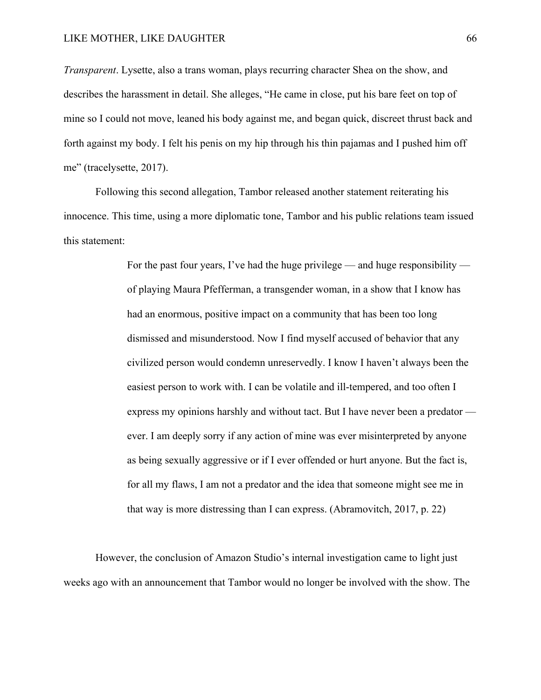*Transparent*. Lysette, also a trans woman, plays recurring character Shea on the show, and describes the harassment in detail. She alleges, "He came in close, put his bare feet on top of mine so I could not move, leaned his body against me, and began quick, discreet thrust back and forth against my body. I felt his penis on my hip through his thin pajamas and I pushed him off me" (tracelysette, 2017).

Following this second allegation, Tambor released another statement reiterating his innocence. This time, using a more diplomatic tone, Tambor and his public relations team issued this statement:

> For the past four years, I've had the huge privilege — and huge responsibility of playing Maura Pfefferman, a transgender woman, in a show that I know has had an enormous, positive impact on a community that has been too long dismissed and misunderstood. Now I find myself accused of behavior that any civilized person would condemn unreservedly. I know I haven't always been the easiest person to work with. I can be volatile and ill-tempered, and too often I express my opinions harshly and without tact. But I have never been a predator ever. I am deeply sorry if any action of mine was ever misinterpreted by anyone as being sexually aggressive or if I ever offended or hurt anyone. But the fact is, for all my flaws, I am not a predator and the idea that someone might see me in that way is more distressing than I can express. (Abramovitch, 2017, p. 22)

However, the conclusion of Amazon Studio's internal investigation came to light just weeks ago with an announcement that Tambor would no longer be involved with the show. The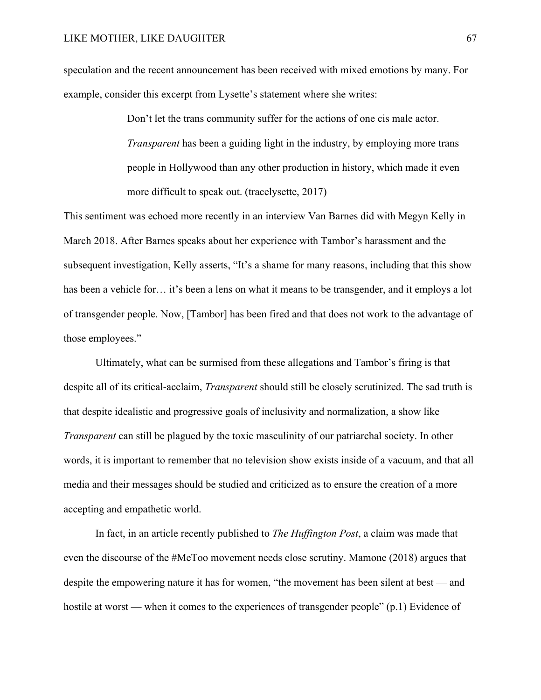speculation and the recent announcement has been received with mixed emotions by many. For example, consider this excerpt from Lysette's statement where she writes:

> Don't let the trans community suffer for the actions of one cis male actor. *Transparent* has been a guiding light in the industry, by employing more trans people in Hollywood than any other production in history, which made it even more difficult to speak out. (tracelysette, 2017)

This sentiment was echoed more recently in an interview Van Barnes did with Megyn Kelly in March 2018. After Barnes speaks about her experience with Tambor's harassment and the subsequent investigation, Kelly asserts, "It's a shame for many reasons, including that this show has been a vehicle for... it's been a lens on what it means to be transgender, and it employs a lot of transgender people. Now, [Tambor] has been fired and that does not work to the advantage of those employees."

Ultimately, what can be surmised from these allegations and Tambor's firing is that despite all of its critical-acclaim, *Transparent* should still be closely scrutinized. The sad truth is that despite idealistic and progressive goals of inclusivity and normalization, a show like *Transparent* can still be plagued by the toxic masculinity of our patriarchal society. In other words, it is important to remember that no television show exists inside of a vacuum, and that all media and their messages should be studied and criticized as to ensure the creation of a more accepting and empathetic world.

In fact, in an article recently published to *The Huffington Post*, a claim was made that even the discourse of the #MeToo movement needs close scrutiny. Mamone (2018) argues that despite the empowering nature it has for women, "the movement has been silent at best — and hostile at worst — when it comes to the experiences of transgender people" (p.1) Evidence of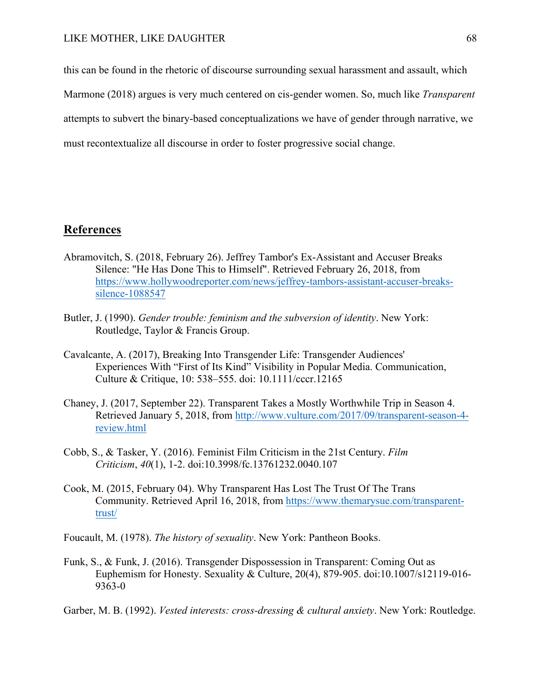this can be found in the rhetoric of discourse surrounding sexual harassment and assault, which Marmone (2018) argues is very much centered on cis-gender women. So, much like *Transparent* attempts to subvert the binary-based conceptualizations we have of gender through narrative, we must recontextualize all discourse in order to foster progressive social change.

# **References**

- Abramovitch, S. (2018, February 26). Jeffrey Tambor's Ex-Assistant and Accuser Breaks Silence: "He Has Done This to Himself". Retrieved February 26, 2018, from https://www.hollywoodreporter.com/news/jeffrey-tambors-assistant-accuser-breakssilence-1088547
- Butler, J. (1990). *Gender trouble: feminism and the subversion of identity*. New York: Routledge, Taylor & Francis Group.
- Cavalcante, A. (2017), Breaking Into Transgender Life: Transgender Audiences' Experiences With "First of Its Kind" Visibility in Popular Media. Communication, Culture & Critique, 10: 538–555. doi: 10.1111/cccr.12165
- Chaney, J. (2017, September 22). Transparent Takes a Mostly Worthwhile Trip in Season 4. Retrieved January 5, 2018, from http://www.vulture.com/2017/09/transparent-season-4 review.html
- Cobb, S., & Tasker, Y. (2016). Feminist Film Criticism in the 21st Century. *Film Criticism*, *40*(1), 1-2. doi:10.3998/fc.13761232.0040.107
- Cook, M. (2015, February 04). Why Transparent Has Lost The Trust Of The Trans Community. Retrieved April 16, 2018, from https://www.themarysue.com/transparenttrust/
- Foucault, M. (1978). *The history of sexuality*. New York: Pantheon Books.
- Funk, S., & Funk, J. (2016). Transgender Dispossession in Transparent: Coming Out as Euphemism for Honesty. Sexuality & Culture, 20(4), 879-905. doi:10.1007/s12119-016- 9363-0
- Garber, M. B. (1992). *Vested interests: cross-dressing & cultural anxiety*. New York: Routledge.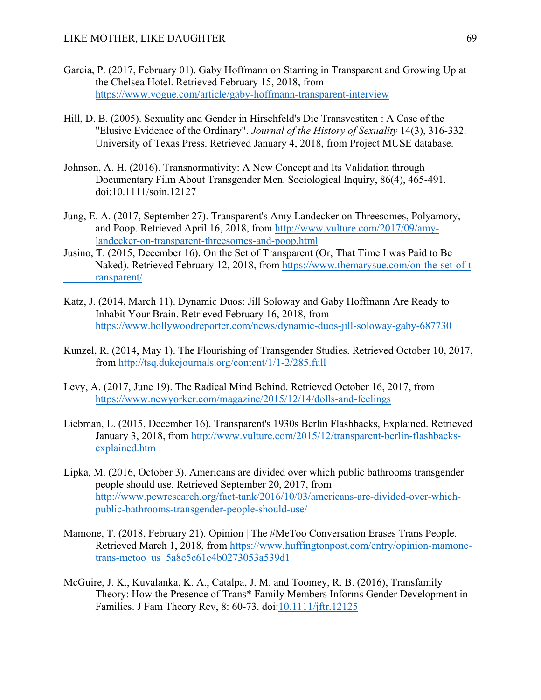- Garcia, P. (2017, February 01). Gaby Hoffmann on Starring in Transparent and Growing Up at the Chelsea Hotel. Retrieved February 15, 2018, from https://www.vogue.com/article/gaby-hoffmann-transparent-interview
- Hill, D. B. (2005). Sexuality and Gender in Hirschfeld's Die Transvestiten : A Case of the "Elusive Evidence of the Ordinary". *Journal of the History of Sexuality* 14(3), 316-332. University of Texas Press. Retrieved January 4, 2018, from Project MUSE database.
- Johnson, A. H. (2016). Transnormativity: A New Concept and Its Validation through Documentary Film About Transgender Men. Sociological Inquiry, 86(4), 465-491. doi:10.1111/soin.12127
- Jung, E. A. (2017, September 27). Transparent's Amy Landecker on Threesomes, Polyamory, and Poop. Retrieved April 16, 2018, from http://www.vulture.com/2017/09/amylandecker-on-transparent-threesomes-and-poop.html
- Jusino, T. (2015, December 16). On the Set of Transparent (Or, That Time I was Paid to Be Naked). Retrieved February 12, 2018, from https://www.themarysue.com/on-the-set-of-t ransparent/
- Katz, J. (2014, March 11). Dynamic Duos: Jill Soloway and Gaby Hoffmann Are Ready to Inhabit Your Brain. Retrieved February 16, 2018, from https://www.hollywoodreporter.com/news/dynamic-duos-jill-soloway-gaby-687730
- Kunzel, R. (2014, May 1). The Flourishing of Transgender Studies. Retrieved October 10, 2017, from http://tsq.dukejournals.org/content/1/1-2/285.full
- Levy, A. (2017, June 19). The Radical Mind Behind. Retrieved October 16, 2017, from https://www.newyorker.com/magazine/2015/12/14/dolls-and-feelings
- Liebman, L. (2015, December 16). Transparent's 1930s Berlin Flashbacks, Explained. Retrieved January 3, 2018, from http://www.vulture.com/2015/12/transparent-berlin-flashbacksexplained.htm
- Lipka, M. (2016, October 3). Americans are divided over which public bathrooms transgender people should use. Retrieved September 20, 2017, from http://www.pewresearch.org/fact-tank/2016/10/03/americans-are-divided-over-whichpublic-bathrooms-transgender-people-should-use/
- Mamone, T. (2018, February 21). Opinion | The #MeToo Conversation Erases Trans People. Retrieved March 1, 2018, from https://www.huffingtonpost.com/entry/opinion-mamonetrans-metoo\_us\_5a8c5c61e4b0273053a539d1
- McGuire, J. K., Kuvalanka, K. A., Catalpa, J. M. and Toomey, R. B. (2016), Transfamily Theory: How the Presence of Trans\* Family Members Informs Gender Development in Families. J Fam Theory Rev, 8: 60-73. doi:10.1111/jftr.12125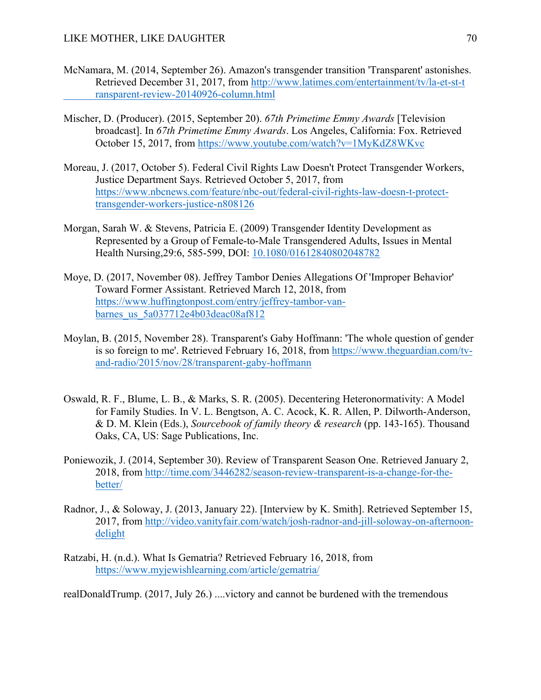- McNamara, M. (2014, September 26). Amazon's transgender transition 'Transparent' astonishes. Retrieved December 31, 2017, from http://www.latimes.com/entertainment/tv/la-et-st-t ransparent-review-20140926-column.html
- Mischer, D. (Producer). (2015, September 20). *67th Primetime Emmy Awards* [Television broadcast]. In *67th Primetime Emmy Awards*. Los Angeles, California: Fox. Retrieved October 15, 2017, from https://www.youtube.com/watch?v=1MyKdZ8WKvc
- Moreau, J. (2017, October 5). Federal Civil Rights Law Doesn't Protect Transgender Workers, Justice Department Says. Retrieved October 5, 2017, from https://www.nbcnews.com/feature/nbc-out/federal-civil-rights-law-doesn-t-protecttransgender-workers-justice-n808126
- Morgan, Sarah W. & Stevens, Patricia E. (2009) Transgender Identity Development as Represented by a Group of Female-to-Male Transgendered Adults, Issues in Mental Health Nursing,29:6, 585-599, DOI: 10.1080/01612840802048782
- Moye, D. (2017, November 08). Jeffrey Tambor Denies Allegations Of 'Improper Behavior' Toward Former Assistant. Retrieved March 12, 2018, from https://www.huffingtonpost.com/entry/jeffrey-tambor-vanbarnes\_us\_5a037712e4b03deac08af812
- Moylan, B. (2015, November 28). Transparent's Gaby Hoffmann: 'The whole question of gender is so foreign to me'. Retrieved February 16, 2018, from https://www.theguardian.com/tvand-radio/2015/nov/28/transparent-gaby-hoffmann
- Oswald, R. F., Blume, L. B., & Marks, S. R. (2005). Decentering Heteronormativity: A Model for Family Studies. In V. L. Bengtson, A. C. Acock, K. R. Allen, P. Dilworth-Anderson, & D. M. Klein (Eds.), *Sourcebook of family theory & research* (pp. 143-165). Thousand Oaks, CA, US: Sage Publications, Inc.
- Poniewozik, J. (2014, September 30). Review of Transparent Season One. Retrieved January 2, 2018, from http://time.com/3446282/season-review-transparent-is-a-change-for-thebetter/
- Radnor, J., & Soloway, J. (2013, January 22). [Interview by K. Smith]. Retrieved September 15, 2017, from http://video.vanityfair.com/watch/josh-radnor-and-jill-soloway-on-afternoondelight
- Ratzabi, H. (n.d.). What Is Gematria? Retrieved February 16, 2018, from https://www.myjewishlearning.com/article/gematria/

realDonaldTrump. (2017, July 26.) ....victory and cannot be burdened with the tremendous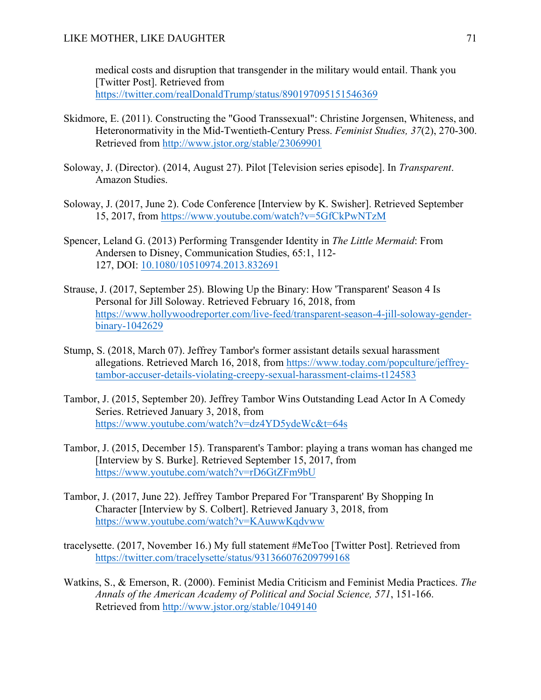medical costs and disruption that transgender in the military would entail. Thank you [Twitter Post]. Retrieved from https://twitter.com/realDonaldTrump/status/890197095151546369

- Skidmore, E. (2011). Constructing the "Good Transsexual": Christine Jorgensen, Whiteness, and Heteronormativity in the Mid-Twentieth-Century Press. *Feminist Studies, 37*(2), 270-300. Retrieved from http://www.jstor.org/stable/23069901
- Soloway, J. (Director). (2014, August 27). Pilot [Television series episode]. In *Transparent*. Amazon Studies.
- Soloway, J. (2017, June 2). Code Conference [Interview by K. Swisher]. Retrieved September 15, 2017, from https://www.youtube.com/watch?v=5GfCkPwNTzM
- Spencer, Leland G. (2013) Performing Transgender Identity in *The Little Mermaid*: From Andersen to Disney, Communication Studies, 65:1, 112- 127, DOI: 10.1080/10510974.2013.832691
- Strause, J. (2017, September 25). Blowing Up the Binary: How 'Transparent' Season 4 Is Personal for Jill Soloway. Retrieved February 16, 2018, from https://www.hollywoodreporter.com/live-feed/transparent-season-4-jill-soloway-genderbinary-1042629
- Stump, S. (2018, March 07). Jeffrey Tambor's former assistant details sexual harassment allegations. Retrieved March 16, 2018, from https://www.today.com/popculture/jeffreytambor-accuser-details-violating-creepy-sexual-harassment-claims-t124583
- Tambor, J. (2015, September 20). Jeffrey Tambor Wins Outstanding Lead Actor In A Comedy Series. Retrieved January 3, 2018, from https://www.youtube.com/watch?v=dz4YD5ydeWc&t=64s
- Tambor, J. (2015, December 15). Transparent's Tambor: playing a trans woman has changed me [Interview by S. Burke]. Retrieved September 15, 2017, from https://www.youtube.com/watch?v=rD6GtZFm9bU
- Tambor, J. (2017, June 22). Jeffrey Tambor Prepared For 'Transparent' By Shopping In Character [Interview by S. Colbert]. Retrieved January 3, 2018, from https://www.youtube.com/watch?v=KAuwwKqdvww
- tracelysette. (2017, November 16.) My full statement #MeToo [Twitter Post]. Retrieved from https://twitter.com/tracelysette/status/931366076209799168
- Watkins, S., & Emerson, R. (2000). Feminist Media Criticism and Feminist Media Practices. *The Annals of the American Academy of Political and Social Science, 571*, 151-166. Retrieved from http://www.jstor.org/stable/1049140